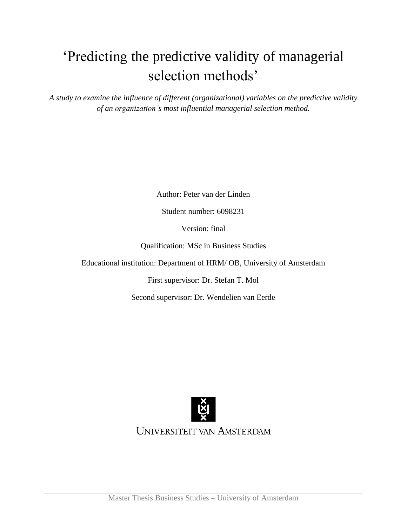# 'Predicting the predictive validity of managerial selection methods'

*A study to examine the influence of different (organizational) variables on the predictive validity of an organization's most influential managerial selection method.*

Author: Peter van der Linden

Student number: 6098231

Version: final

Qualification: MSc in Business Studies

Educational institution: Department of HRM/ OB, University of Amsterdam

First supervisor: Dr. Stefan T. Mol

Second supervisor: Dr. Wendelien van Eerde



UNIVERSITEIT VAN AMSTERDAM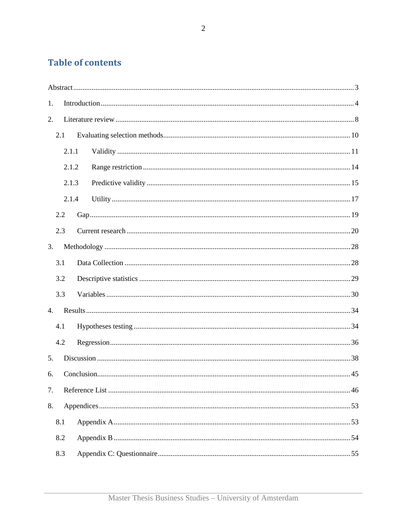# **Table of contents**

| 1.               |       |  |
|------------------|-------|--|
| 2.               |       |  |
| 2.1              |       |  |
|                  | 2.1.1 |  |
|                  | 2.1.2 |  |
|                  | 2.1.3 |  |
|                  | 2.1.4 |  |
| 2.2              |       |  |
| 2.3              |       |  |
| 3.               |       |  |
| 3.1              |       |  |
| 3.2              |       |  |
| 3.3              |       |  |
| $\overline{4}$ . |       |  |
| 4.1              |       |  |
| 4.2              |       |  |
| 5.               |       |  |
| 6.               |       |  |
| 7.               |       |  |
| 8.               |       |  |
| 8.1              |       |  |
| 8.2              |       |  |
| 8.3              |       |  |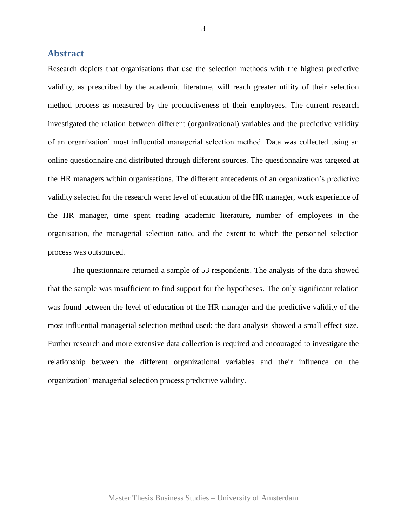#### <span id="page-2-0"></span>**Abstract**

Research depicts that organisations that use the selection methods with the highest predictive validity, as prescribed by the academic literature, will reach greater utility of their selection method process as measured by the productiveness of their employees. The current research investigated the relation between different (organizational) variables and the predictive validity of an organization' most influential managerial selection method. Data was collected using an online questionnaire and distributed through different sources. The questionnaire was targeted at the HR managers within organisations. The different antecedents of an organization's predictive validity selected for the research were: level of education of the HR manager, work experience of the HR manager, time spent reading academic literature, number of employees in the organisation, the managerial selection ratio, and the extent to which the personnel selection process was outsourced.

The questionnaire returned a sample of 53 respondents. The analysis of the data showed that the sample was insufficient to find support for the hypotheses. The only significant relation was found between the level of education of the HR manager and the predictive validity of the most influential managerial selection method used; the data analysis showed a small effect size. Further research and more extensive data collection is required and encouraged to investigate the relationship between the different organizational variables and their influence on the organization' managerial selection process predictive validity.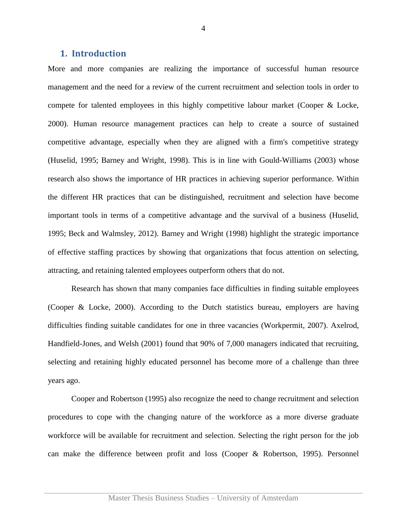#### <span id="page-3-0"></span>**1. Introduction**

More and more companies are realizing the importance of successful human resource management and the need for a review of the current recruitment and selection tools in order to compete for talented employees in this highly competitive labour market (Cooper & Locke, 2000). Human resource management practices can help to create a source of sustained competitive advantage, especially when they are aligned with a firm's competitive strategy (Huselid, 1995; Barney and Wright, 1998). This is in line with Gould-Williams (2003) whose research also shows the importance of HR practices in achieving superior performance. Within the different HR practices that can be distinguished, recruitment and selection have become important tools in terms of a competitive advantage and the survival of a business (Huselid, 1995; Beck and Walmsley, 2012). Barney and Wright (1998) highlight the strategic importance of effective staffing practices by showing that organizations that focus attention on selecting, attracting, and retaining talented employees outperform others that do not.

Research has shown that many companies face difficulties in finding suitable employees (Cooper & Locke, 2000). According to the Dutch statistics bureau, employers are having difficulties finding suitable candidates for one in three vacancies (Workpermit, 2007). Axelrod, Handfield-Jones, and Welsh (2001) found that 90% of 7,000 managers indicated that recruiting, selecting and retaining highly educated personnel has become more of a challenge than three years ago.

Cooper and Robertson (1995) also recognize the need to change recruitment and selection procedures to cope with the changing nature of the workforce as a more diverse graduate workforce will be available for recruitment and selection. Selecting the right person for the job can make the difference between profit and loss (Cooper & Robertson, 1995). Personnel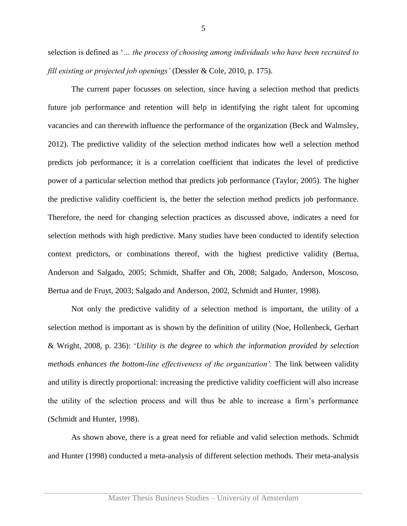selection is defined as '*… the process of choosing among individuals who have been recruited to fill existing or projected job openings'* (Dessler & Cole, 2010, p. 175).

The current paper focusses on selection, since having a selection method that predicts future job performance and retention will help in identifying the right talent for upcoming vacancies and can therewith influence the performance of the organization (Beck and Walmsley, 2012). The predictive validity of the selection method indicates how well a selection method predicts job performance; it is a correlation coefficient that indicates the level of predictive power of a particular selection method that predicts job performance (Taylor, 2005). The higher the predictive validity coefficient is, the better the selection method predicts job performance. Therefore, the need for changing selection practices as discussed above, indicates a need for selection methods with high predictive. Many studies have been conducted to identify selection context predictors, or combinations thereof, with the highest predictive validity (Bertua, Anderson and Salgado, 2005; Schmidt, Shaffer and Oh, 2008; Salgado, Anderson, Moscoso, Bertua and de Fruyt, 2003; Salgado and Anderson, 2002, Schmidt and Hunter, 1998).

Not only the predictive validity of a selection method is important, the utility of a selection method is important as is shown by the definition of utility (Noe, Hollenbeck, Gerhart & Wright, 2008, p. 236): '*Utility is the degree to which the information provided by selection methods enhances the bottom-line effectiveness of the organization'*. The link between validity and utility is directly proportional: increasing the predictive validity coefficient will also increase the utility of the selection process and will thus be able to increase a firm's performance (Schmidt and Hunter, 1998).

As shown above, there is a great need for reliable and valid selection methods. Schmidt and Hunter (1998) conducted a meta-analysis of different selection methods. Their meta-analysis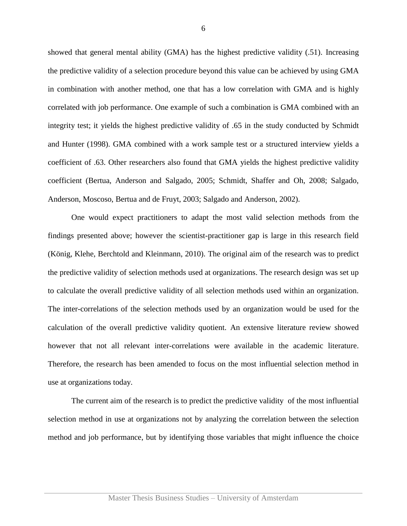showed that general mental ability (GMA) has the highest predictive validity (.51). Increasing the predictive validity of a selection procedure beyond this value can be achieved by using GMA in combination with another method, one that has a low correlation with GMA and is highly correlated with job performance. One example of such a combination is GMA combined with an integrity test; it yields the highest predictive validity of .65 in the study conducted by Schmidt and Hunter (1998). GMA combined with a work sample test or a structured interview yields a coefficient of .63. Other researchers also found that GMA yields the highest predictive validity coefficient (Bertua, Anderson and Salgado, 2005; Schmidt, Shaffer and Oh, 2008; Salgado, Anderson, Moscoso, Bertua and de Fruyt, 2003; Salgado and Anderson, 2002).

One would expect practitioners to adapt the most valid selection methods from the findings presented above; however the scientist-practitioner gap is large in this research field (König, Klehe, Berchtold and Kleinmann, 2010). The original aim of the research was to predict the predictive validity of selection methods used at organizations. The research design was set up to calculate the overall predictive validity of all selection methods used within an organization. The inter-correlations of the selection methods used by an organization would be used for the calculation of the overall predictive validity quotient. An extensive literature review showed however that not all relevant inter-correlations were available in the academic literature. Therefore, the research has been amended to focus on the most influential selection method in use at organizations today.

The current aim of the research is to predict the predictive validity of the most influential selection method in use at organizations not by analyzing the correlation between the selection method and job performance, but by identifying those variables that might influence the choice

6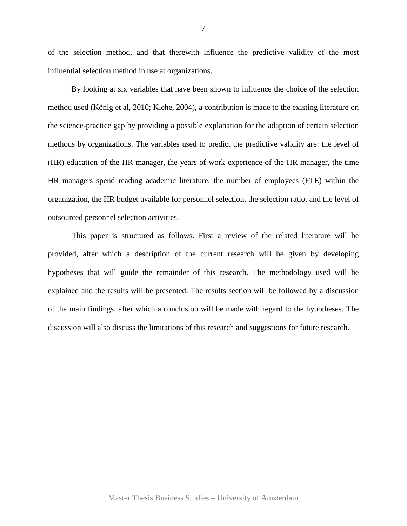of the selection method, and that therewith influence the predictive validity of the most influential selection method in use at organizations.

By looking at six variables that have been shown to influence the choice of the selection method used (König et al, 2010; Klehe, 2004), a contribution is made to the existing literature on the science-practice gap by providing a possible explanation for the adaption of certain selection methods by organizations. The variables used to predict the predictive validity are: the level of (HR) education of the HR manager, the years of work experience of the HR manager, the time HR managers spend reading academic literature, the number of employees (FTE) within the organization, the HR budget available for personnel selection, the selection ratio, and the level of outsourced personnel selection activities.

<span id="page-6-0"></span>This paper is structured as follows. First a review of the related literature will be provided, after which a description of the current research will be given by developing hypotheses that will guide the remainder of this research. The methodology used will be explained and the results will be presented. The results section will be followed by a discussion of the main findings, after which a conclusion will be made with regard to the hypotheses. The discussion will also discuss the limitations of this research and suggestions for future research.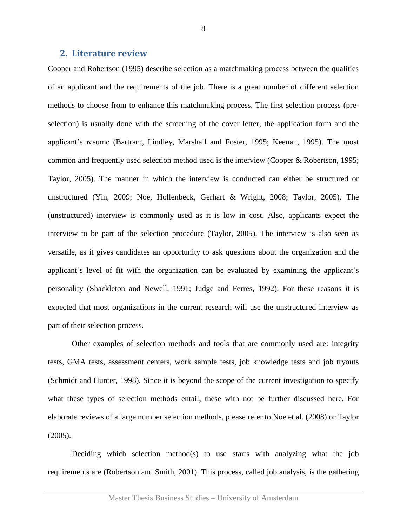#### <span id="page-7-0"></span>**2. Literature review**

Cooper and Robertson (1995) describe selection as a matchmaking process between the qualities of an applicant and the requirements of the job. There is a great number of different selection methods to choose from to enhance this matchmaking process. The first selection process (preselection) is usually done with the screening of the cover letter, the application form and the applicant's resume (Bartram, Lindley, Marshall and Foster, 1995; Keenan, 1995). The most common and frequently used selection method used is the interview (Cooper & Robertson, 1995; Taylor, 2005). The manner in which the interview is conducted can either be structured or unstructured (Yin, 2009; Noe, Hollenbeck, Gerhart & Wright, 2008; Taylor, 2005). The (unstructured) interview is commonly used as it is low in cost. Also, applicants expect the interview to be part of the selection procedure (Taylor, 2005). The interview is also seen as versatile, as it gives candidates an opportunity to ask questions about the organization and the applicant's level of fit with the organization can be evaluated by examining the applicant's personality (Shackleton and Newell, 1991; Judge and Ferres, 1992). For these reasons it is expected that most organizations in the current research will use the unstructured interview as part of their selection process.

Other examples of selection methods and tools that are commonly used are: integrity tests, GMA tests, assessment centers, work sample tests, job knowledge tests and job tryouts (Schmidt and Hunter, 1998). Since it is beyond the scope of the current investigation to specify what these types of selection methods entail, these with not be further discussed here. For elaborate reviews of a large number selection methods, please refer to Noe et al. (2008) or Taylor (2005).

Deciding which selection method(s) to use starts with analyzing what the job requirements are (Robertson and Smith, 2001). This process, called job analysis, is the gathering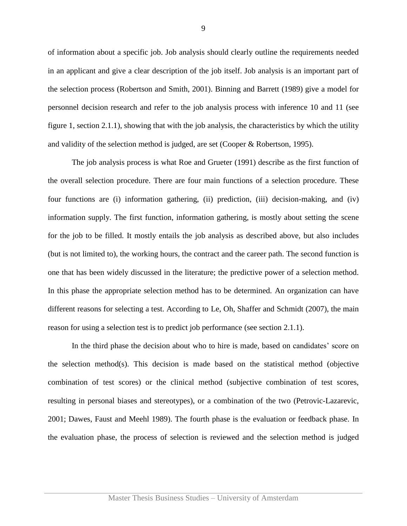of information about a specific job. Job analysis should clearly outline the requirements needed in an applicant and give a clear description of the job itself. Job analysis is an important part of the selection process (Robertson and Smith, 2001). Binning and Barrett (1989) give a model for personnel decision research and refer to the job analysis process with inference 10 and 11 (see figure 1, [section 2.1.1\)](#page-10-0), showing that with the job analysis, the characteristics by which the utility and validity of the selection method is judged, are set (Cooper & Robertson, 1995).

The job analysis process is what Roe and Grueter (1991) describe as the first function of the overall selection procedure. There are four main functions of a selection procedure. These four functions are (i) information gathering, (ii) prediction, (iii) decision-making, and (iv) information supply. The first function, information gathering, is mostly about setting the scene for the job to be filled. It mostly entails the job analysis as described above, but also includes (but is not limited to), the working hours, the contract and the career path. The second function is one that has been widely discussed in the literature; the predictive power of a selection method. In this phase the appropriate selection method has to be determined. An organization can have different reasons for selecting a test. According to Le, Oh, Shaffer and Schmidt (2007), the main reason for using a selection test is to predict job performance (see [section 2.1.1\)](#page-10-0).

In the third phase the decision about who to hire is made, based on candidates' score on the selection method(s). This decision is made based on the statistical method (objective combination of test scores) or the clinical method (subjective combination of test scores, resulting in personal biases and stereotypes), or a combination of the two (Petrovic-Lazarevic, 2001; Dawes, Faust and Meehl 1989). The fourth phase is the evaluation or feedback phase. In the evaluation phase, the process of selection is reviewed and the selection method is judged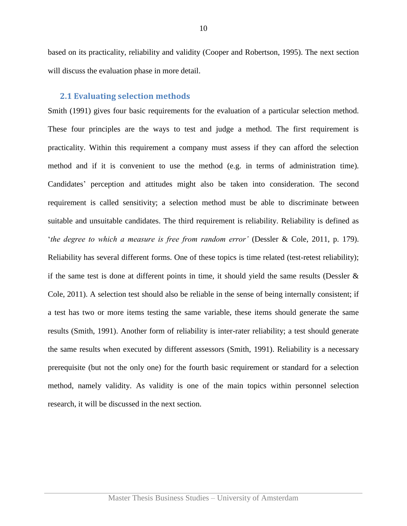based on its practicality, reliability and validity (Cooper and Robertson, 1995). The next section will discuss the evaluation phase in more detail.

#### <span id="page-9-0"></span>**2.1 Evaluating selection methods**

Smith (1991) gives four basic requirements for the evaluation of a particular selection method. These four principles are the ways to test and judge a method. The first requirement is practicality. Within this requirement a company must assess if they can afford the selection method and if it is convenient to use the method (e.g. in terms of administration time). Candidates' perception and attitudes might also be taken into consideration. The second requirement is called sensitivity; a selection method must be able to discriminate between suitable and unsuitable candidates. The third requirement is reliability. Reliability is defined as '*the degree to which a measure is free from random error'* (Dessler & Cole, 2011, p. 179). Reliability has several different forms. One of these topics is time related (test-retest reliability); if the same test is done at different points in time, it should yield the same results (Dessler  $\&$ Cole, 2011). A selection test should also be reliable in the sense of being internally consistent; if a test has two or more items testing the same variable, these items should generate the same results (Smith, 1991). Another form of reliability is inter-rater reliability; a test should generate the same results when executed by different assessors (Smith, 1991). Reliability is a necessary prerequisite (but not the only one) for the fourth basic requirement or standard for a selection method, namely validity. As validity is one of the main topics within personnel selection research, it will be discussed in the next section.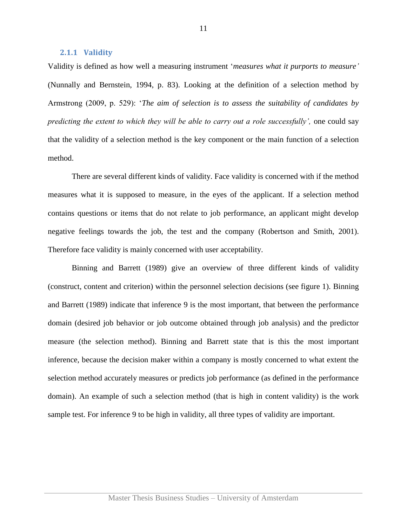#### <span id="page-10-0"></span>**2.1.1 Validity**

Validity is defined as how well a measuring instrument '*measures what it purports to measure'* (Nunnally and Bernstein, 1994, p. 83). Looking at the definition of a selection method by Armstrong (2009, p. 529): '*The aim of selection is to assess the suitability of candidates by predicting the extent to which they will be able to carry out a role successfully'*, one could say that the validity of a selection method is the key component or the main function of a selection method.

There are several different kinds of validity. Face validity is concerned with if the method measures what it is supposed to measure, in the eyes of the applicant. If a selection method contains questions or items that do not relate to job performance, an applicant might develop negative feelings towards the job, the test and the company (Robertson and Smith, 2001). Therefore face validity is mainly concerned with user acceptability.

Binning and Barrett (1989) give an overview of three different kinds of validity (construct, content and criterion) within the personnel selection decisions (see figure 1). Binning and Barrett (1989) indicate that inference 9 is the most important, that between the performance domain (desired job behavior or job outcome obtained through job analysis) and the predictor measure (the selection method). Binning and Barrett state that is this the most important inference, because the decision maker within a company is mostly concerned to what extent the selection method accurately measures or predicts job performance (as defined in the performance domain). An example of such a selection method (that is high in content validity) is the work sample test. For inference 9 to be high in validity, all three types of validity are important.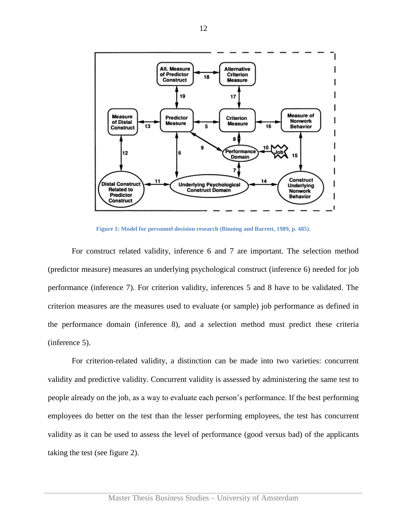

**Figure 1: Model for personnel decision research (Binning and Barrett, 1989, p. 485).**

For construct related validity, inference 6 and 7 are important. The selection method (predictor measure) measures an underlying psychological construct (inference 6) needed for job performance (inference 7). For criterion validity, inferences 5 and 8 have to be validated. The criterion measures are the measures used to evaluate (or sample) job performance as defined in the performance domain (inference 8), and a selection method must predict these criteria (inference 5).

For criterion-related validity, a distinction can be made into two varieties: concurrent validity and predictive validity. Concurrent validity is assessed by administering the same test to people already on the job, as a way to evaluate each person's performance. If the best performing employees do better on the test than the lesser performing employees, the test has concurrent validity as it can be used to assess the level of performance (good versus bad) of the applicants taking the test (see figure 2).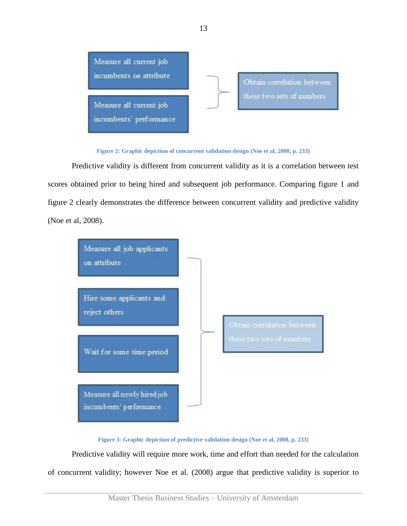

**Figure 2: Graphic depiction of concurrent validation design (Noe et al, 2008, p. 233)**

Predictive validity is different from concurrent validity as it is a correlation between test scores obtained prior to being hired and subsequent job performance. Comparing figure 1 and figure 2 clearly demonstrates the difference between concurrent validity and predictive validity (Noe et al, 2008).



**Figure 3: Graphic depiction of predictive validation design (Noe et al, 2008, p. 233)**

Predictive validity will require more work, time and effort than needed for the calculation of concurrent validity; however Noe et al. (2008) argue that predictive validity is superior to

13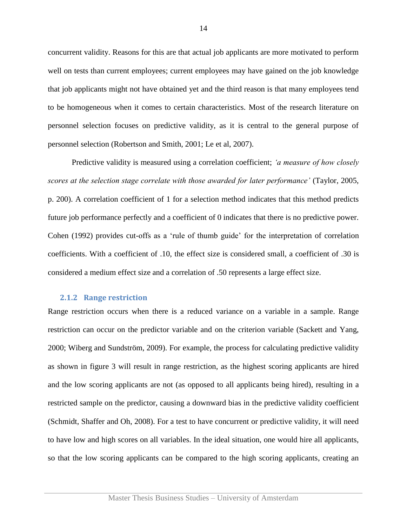concurrent validity. Reasons for this are that actual job applicants are more motivated to perform well on tests than current employees; current employees may have gained on the job knowledge that job applicants might not have obtained yet and the third reason is that many employees tend to be homogeneous when it comes to certain characteristics. Most of the research literature on personnel selection focuses on predictive validity, as it is central to the general purpose of personnel selection (Robertson and Smith, 2001; Le et al, 2007).

Predictive validity is measured using a correlation coefficient; *'a measure of how closely scores at the selection stage correlate with those awarded for later performance'* (Taylor, 2005, p. 200). A correlation coefficient of 1 for a selection method indicates that this method predicts future job performance perfectly and a coefficient of 0 indicates that there is no predictive power. Cohen (1992) provides cut-offs as a 'rule of thumb guide' for the interpretation of correlation coefficients. With a coefficient of .10, the effect size is considered small, a coefficient of .30 is considered a medium effect size and a correlation of .50 represents a large effect size.

#### <span id="page-13-0"></span>**2.1.2 Range restriction**

Range restriction occurs when there is a reduced variance on a variable in a sample. Range restriction can occur on the predictor variable and on the criterion variable (Sackett and Yang, 2000; Wiberg and Sundström, 2009). For example, the process for calculating predictive validity as shown in figure 3 will result in range restriction, as the highest scoring applicants are hired and the low scoring applicants are not (as opposed to all applicants being hired), resulting in a restricted sample on the predictor, causing a downward bias in the predictive validity coefficient (Schmidt, Shaffer and Oh, 2008). For a test to have concurrent or predictive validity, it will need to have low and high scores on all variables. In the ideal situation, one would hire all applicants, so that the low scoring applicants can be compared to the high scoring applicants, creating an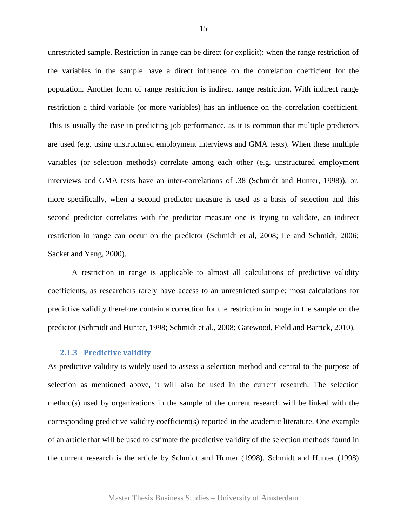unrestricted sample. Restriction in range can be direct (or explicit): when the range restriction of the variables in the sample have a direct influence on the correlation coefficient for the population. Another form of range restriction is indirect range restriction. With indirect range restriction a third variable (or more variables) has an influence on the correlation coefficient. This is usually the case in predicting job performance, as it is common that multiple predictors are used (e.g. using unstructured employment interviews and GMA tests). When these multiple variables (or selection methods) correlate among each other (e.g. unstructured employment interviews and GMA tests have an inter-correlations of .38 (Schmidt and Hunter, 1998)), or, more specifically, when a second predictor measure is used as a basis of selection and this second predictor correlates with the predictor measure one is trying to validate, an indirect restriction in range can occur on the predictor (Schmidt et al, 2008; Le and Schmidt, 2006; Sacket and Yang, 2000).

A restriction in range is applicable to almost all calculations of predictive validity coefficients, as researchers rarely have access to an unrestricted sample; most calculations for predictive validity therefore contain a correction for the restriction in range in the sample on the predictor (Schmidt and Hunter, 1998; Schmidt et al., 2008; Gatewood, Field and Barrick, 2010).

#### <span id="page-14-0"></span>**2.1.3 Predictive validity**

As predictive validity is widely used to assess a selection method and central to the purpose of selection as mentioned above, it will also be used in the current research. The selection method(s) used by organizations in the sample of the current research will be linked with the corresponding predictive validity coefficient(s) reported in the academic literature. One example of an article that will be used to estimate the predictive validity of the selection methods found in the current research is the article by Schmidt and Hunter (1998). Schmidt and Hunter (1998)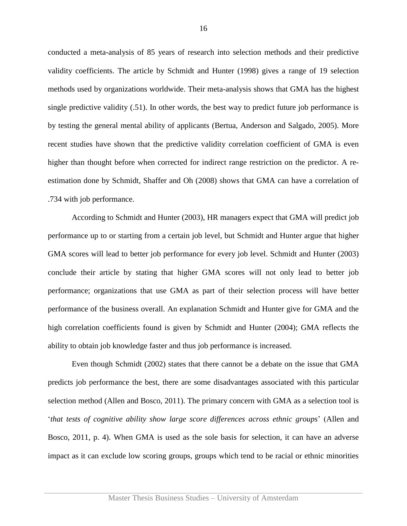conducted a meta-analysis of 85 years of research into selection methods and their predictive validity coefficients. The article by Schmidt and Hunter (1998) gives a range of 19 selection methods used by organizations worldwide. Their meta-analysis shows that GMA has the highest single predictive validity (.51). In other words, the best way to predict future job performance is by testing the general mental ability of applicants (Bertua, Anderson and Salgado, 2005). More recent studies have shown that the predictive validity correlation coefficient of GMA is even higher than thought before when corrected for indirect range restriction on the predictor. A reestimation done by Schmidt, Shaffer and Oh (2008) shows that GMA can have a correlation of .734 with job performance.

According to Schmidt and Hunter (2003), HR managers expect that GMA will predict job performance up to or starting from a certain job level, but Schmidt and Hunter argue that higher GMA scores will lead to better job performance for every job level. Schmidt and Hunter (2003) conclude their article by stating that higher GMA scores will not only lead to better job performance; organizations that use GMA as part of their selection process will have better performance of the business overall. An explanation Schmidt and Hunter give for GMA and the high correlation coefficients found is given by Schmidt and Hunter (2004); GMA reflects the ability to obtain job knowledge faster and thus job performance is increased.

Even though Schmidt (2002) states that there cannot be a debate on the issue that GMA predicts job performance the best, there are some disadvantages associated with this particular selection method (Allen and Bosco, 2011). The primary concern with GMA as a selection tool is '*that tests of cognitive ability show large score differences across ethnic groups*' (Allen and Bosco, 2011, p. 4). When GMA is used as the sole basis for selection, it can have an adverse impact as it can exclude low scoring groups, groups which tend to be racial or ethnic minorities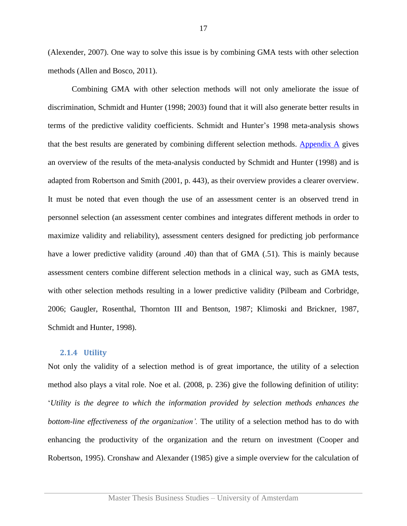(Alexender, 2007). One way to solve this issue is by combining GMA tests with other selection methods (Allen and Bosco, 2011).

Combining GMA with other selection methods will not only ameliorate the issue of discrimination, Schmidt and Hunter (1998; 2003) found that it will also generate better results in terms of the predictive validity coefficients. Schmidt and Hunter's 1998 meta-analysis shows that the best results are generated by combining different selection methods. [Appendix A](#page-52-1) gives an overview of the results of the meta-analysis conducted by Schmidt and Hunter (1998) and is adapted from Robertson and Smith (2001, p. 443), as their overview provides a clearer overview. It must be noted that even though the use of an assessment center is an observed trend in personnel selection (an assessment center combines and integrates different methods in order to maximize validity and reliability), assessment centers designed for predicting job performance have a lower predictive validity (around .40) than that of GMA (.51). This is mainly because assessment centers combine different selection methods in a clinical way, such as GMA tests, with other selection methods resulting in a lower predictive validity (Pilbeam and Corbridge, 2006; Gaugler, Rosenthal, Thornton III and Bentson, 1987; Klimoski and Brickner, 1987, Schmidt and Hunter, 1998).

#### <span id="page-16-0"></span>**2.1.4 Utility**

Not only the validity of a selection method is of great importance, the utility of a selection method also plays a vital role. Noe et al. (2008, p. 236) give the following definition of utility: '*Utility is the degree to which the information provided by selection methods enhances the bottom-line effectiveness of the organization'.* The utility of a selection method has to do with enhancing the productivity of the organization and the return on investment (Cooper and Robertson, 1995). Cronshaw and Alexander (1985) give a simple overview for the calculation of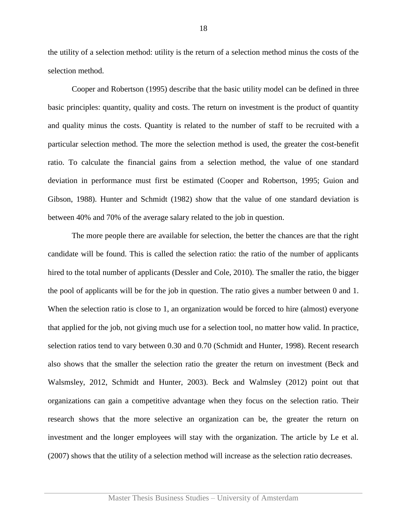the utility of a selection method: utility is the return of a selection method minus the costs of the selection method.

Cooper and Robertson (1995) describe that the basic utility model can be defined in three basic principles: quantity, quality and costs. The return on investment is the product of quantity and quality minus the costs. Quantity is related to the number of staff to be recruited with a particular selection method. The more the selection method is used, the greater the cost-benefit ratio. To calculate the financial gains from a selection method, the value of one standard deviation in performance must first be estimated (Cooper and Robertson, 1995; Guion and Gibson, 1988). Hunter and Schmidt (1982) show that the value of one standard deviation is between 40% and 70% of the average salary related to the job in question.

The more people there are available for selection, the better the chances are that the right candidate will be found. This is called the selection ratio: the ratio of the number of applicants hired to the total number of applicants (Dessler and Cole, 2010). The smaller the ratio, the bigger the pool of applicants will be for the job in question. The ratio gives a number between 0 and 1. When the selection ratio is close to 1, an organization would be forced to hire (almost) everyone that applied for the job, not giving much use for a selection tool, no matter how valid. In practice, selection ratios tend to vary between 0.30 and 0.70 (Schmidt and Hunter, 1998). Recent research also shows that the smaller the selection ratio the greater the return on investment (Beck and Walsmsley, 2012, Schmidt and Hunter, 2003). Beck and Walmsley (2012) point out that organizations can gain a competitive advantage when they focus on the selection ratio*.* Their research shows that the more selective an organization can be, the greater the return on investment and the longer employees will stay with the organization. The article by Le et al. (2007) shows that the utility of a selection method will increase as the selection ratio decreases.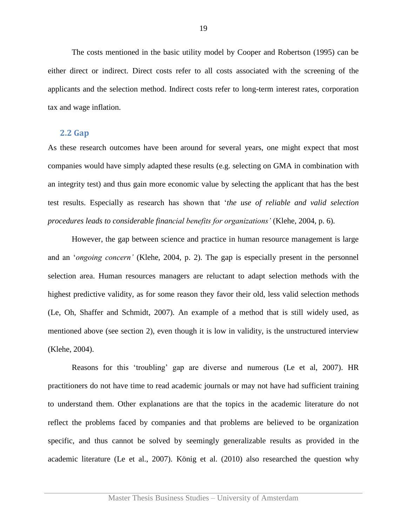The costs mentioned in the basic utility model by Cooper and Robertson (1995) can be either direct or indirect. Direct costs refer to all costs associated with the screening of the applicants and the selection method. Indirect costs refer to long-term interest rates, corporation tax and wage inflation.

#### <span id="page-18-0"></span>**2.2 Gap**

As these research outcomes have been around for several years, one might expect that most companies would have simply adapted these results (e.g. selecting on GMA in combination with an integrity test) and thus gain more economic value by selecting the applicant that has the best test results. Especially as research has shown that '*the use of reliable and valid selection procedures leads to considerable financial benefits for organizations'* (Klehe, 2004, p. 6)*.* 

However, the gap between science and practice in human resource management is large and an '*ongoing concern'* (Klehe, 2004, p. 2). The gap is especially present in the personnel selection area. Human resources managers are reluctant to adapt selection methods with the highest predictive validity, as for some reason they favor their old, less valid selection methods (Le, Oh, Shaffer and Schmidt, 2007). An example of a method that is still widely used, as mentioned above (see [section 2\)](#page-6-0), even though it is low in validity, is the unstructured interview (Klehe, 2004).

Reasons for this 'troubling' gap are diverse and numerous (Le et al, 2007). HR practitioners do not have time to read academic journals or may not have had sufficient training to understand them. Other explanations are that the topics in the academic literature do not reflect the problems faced by companies and that problems are believed to be organization specific, and thus cannot be solved by seemingly generalizable results as provided in the academic literature (Le et al., 2007). König et al. (2010) also researched the question why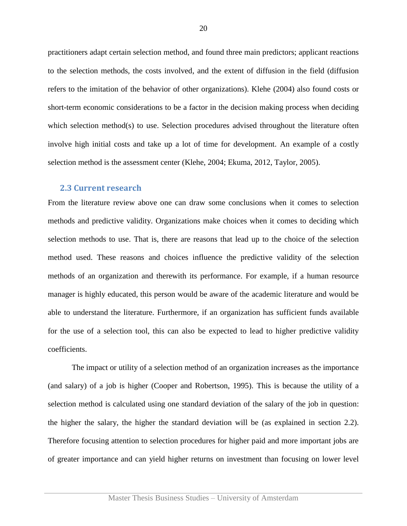practitioners adapt certain selection method, and found three main predictors; applicant reactions to the selection methods, the costs involved, and the extent of diffusion in the field (diffusion refers to the imitation of the behavior of other organizations). Klehe (2004) also found costs or short-term economic considerations to be a factor in the decision making process when deciding which selection method(s) to use. Selection procedures advised throughout the literature often involve high initial costs and take up a lot of time for development. An example of a costly selection method is the assessment center (Klehe, 2004; Ekuma, 2012, Taylor, 2005).

#### <span id="page-19-0"></span>**2.3 Current research**

From the literature review above one can draw some conclusions when it comes to selection methods and predictive validity. Organizations make choices when it comes to deciding which selection methods to use. That is, there are reasons that lead up to the choice of the selection method used. These reasons and choices influence the predictive validity of the selection methods of an organization and therewith its performance. For example, if a human resource manager is highly educated, this person would be aware of the academic literature and would be able to understand the literature. Furthermore, if an organization has sufficient funds available for the use of a selection tool, this can also be expected to lead to higher predictive validity coefficients.

The impact or utility of a selection method of an organization increases as the importance (and salary) of a job is higher (Cooper and Robertson, 1995). This is because the utility of a selection method is calculated using one standard deviation of the salary of the job in question: the higher the salary, the higher the standard deviation will be (as explained in [section 2.2\)](#page-16-0). Therefore focusing attention to selection procedures for higher paid and more important jobs are of greater importance and can yield higher returns on investment than focusing on lower level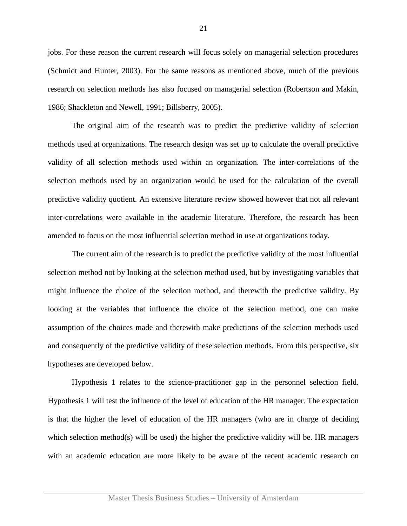jobs. For these reason the current research will focus solely on managerial selection procedures (Schmidt and Hunter, 2003). For the same reasons as mentioned above, much of the previous research on selection methods has also focused on managerial selection (Robertson and Makin, 1986; Shackleton and Newell, 1991; Billsberry, 2005).

The original aim of the research was to predict the predictive validity of selection methods used at organizations. The research design was set up to calculate the overall predictive validity of all selection methods used within an organization. The inter-correlations of the selection methods used by an organization would be used for the calculation of the overall predictive validity quotient. An extensive literature review showed however that not all relevant inter-correlations were available in the academic literature. Therefore, the research has been amended to focus on the most influential selection method in use at organizations today.

The current aim of the research is to predict the predictive validity of the most influential selection method not by looking at the selection method used, but by investigating variables that might influence the choice of the selection method, and therewith the predictive validity. By looking at the variables that influence the choice of the selection method, one can make assumption of the choices made and therewith make predictions of the selection methods used and consequently of the predictive validity of these selection methods. From this perspective, six hypotheses are developed below.

Hypothesis 1 relates to the science-practitioner gap in the personnel selection field. Hypothesis 1 will test the influence of the level of education of the HR manager. The expectation is that the higher the level of education of the HR managers (who are in charge of deciding which selection method(s) will be used) the higher the predictive validity will be. HR managers with an academic education are more likely to be aware of the recent academic research on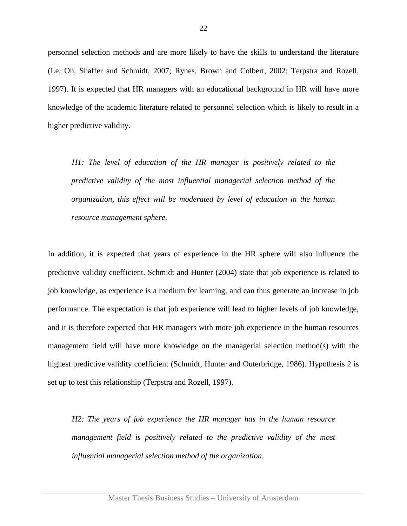personnel selection methods and are more likely to have the skills to understand the literature (Le, Oh, Shaffer and Schmidt, 2007; Rynes, Brown and Colbert, 2002; Terpstra and Rozell, 1997). It is expected that HR managers with an educational background in HR will have more knowledge of the academic literature related to personnel selection which is likely to result in a higher predictive validity.

*H1: The level of education of the HR manager is positively related to the predictive validity of the most influential managerial selection method of the organization, this effect will be moderated by level of education in the human resource management sphere.*

In addition, it is expected that years of experience in the HR sphere will also influence the predictive validity coefficient. Schmidt and Hunter (2004) state that job experience is related to job knowledge, as experience is a medium for learning, and can thus generate an increase in job performance. The expectation is that job experience will lead to higher levels of job knowledge, and it is therefore expected that HR managers with more job experience in the human resources management field will have more knowledge on the managerial selection method(s) with the highest predictive validity coefficient (Schmidt, Hunter and Outerbridge, 1986). Hypothesis 2 is set up to test this relationship (Terpstra and Rozell, 1997).

*H2: The years of job experience the HR manager has in the human resource management field is positively related to the predictive validity of the most influential managerial selection method of the organization.*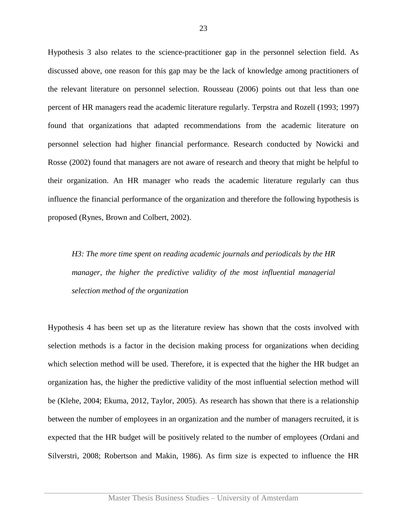Hypothesis 3 also relates to the science-practitioner gap in the personnel selection field. As discussed above, one reason for this gap may be the lack of knowledge among practitioners of the relevant literature on personnel selection. Rousseau (2006) points out that less than one percent of HR managers read the academic literature regularly. Terpstra and Rozell (1993; 1997) found that organizations that adapted recommendations from the academic literature on personnel selection had higher financial performance. Research conducted by Nowicki and Rosse (2002) found that managers are not aware of research and theory that might be helpful to their organization. An HR manager who reads the academic literature regularly can thus influence the financial performance of the organization and therefore the following hypothesis is proposed (Rynes, Brown and Colbert, 2002).

*H3: The more time spent on reading academic journals and periodicals by the HR manager, the higher the predictive validity of the most influential managerial selection method of the organization*

Hypothesis 4 has been set up as the literature review has shown that the costs involved with selection methods is a factor in the decision making process for organizations when deciding which selection method will be used. Therefore, it is expected that the higher the HR budget an organization has, the higher the predictive validity of the most influential selection method will be (Klehe, 2004; Ekuma, 2012, Taylor, 2005). As research has shown that there is a relationship between the number of employees in an organization and the number of managers recruited, it is expected that the HR budget will be positively related to the number of employees (Ordani and Silverstri, 2008; Robertson and Makin, 1986). As firm size is expected to influence the HR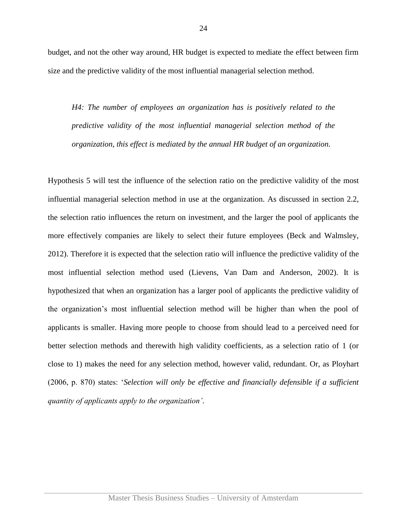budget, and not the other way around, HR budget is expected to mediate the effect between firm size and the predictive validity of the most influential managerial selection method.

*H4: The number of employees an organization has is positively related to the predictive validity of the most influential managerial selection method of the organization, this effect is mediated by the annual HR budget of an organization.*

Hypothesis 5 will test the influence of the selection ratio on the predictive validity of the most influential managerial selection method in use at the organization. As discussed in [section 2.2,](#page-16-0) the selection ratio influences the return on investment, and the larger the pool of applicants the more effectively companies are likely to select their future employees (Beck and Walmsley, 2012). Therefore it is expected that the selection ratio will influence the predictive validity of the most influential selection method used (Lievens, Van Dam and Anderson, 2002). It is hypothesized that when an organization has a larger pool of applicants the predictive validity of the organization's most influential selection method will be higher than when the pool of applicants is smaller. Having more people to choose from should lead to a perceived need for better selection methods and therewith high validity coefficients, as a selection ratio of 1 (or close to 1) makes the need for any selection method, however valid, redundant. Or, as Ployhart (2006, p. 870) states: '*Selection will only be effective and financially defensible if a sufficient quantity of applicants apply to the organization'*.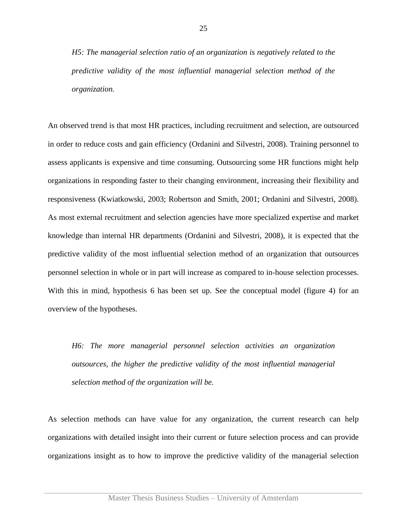*H5: The managerial selection ratio of an organization is negatively related to the predictive validity of the most influential managerial selection method of the organization.*

An observed trend is that most HR practices, including recruitment and selection, are outsourced in order to reduce costs and gain efficiency (Ordanini and Silvestri, 2008). Training personnel to assess applicants is expensive and time consuming. Outsourcing some HR functions might help organizations in responding faster to their changing environment, increasing their flexibility and responsiveness (Kwiatkowski, 2003; Robertson and Smith, 2001; Ordanini and Silvestri, 2008). As most external recruitment and selection agencies have more specialized expertise and market knowledge than internal HR departments (Ordanini and Silvestri, 2008), it is expected that the predictive validity of the most influential selection method of an organization that outsources personnel selection in whole or in part will increase as compared to in-house selection processes. With this in mind, hypothesis 6 has been set up. See the conceptual model (figure 4) for an overview of the hypotheses.

*H6: The more managerial personnel selection activities an organization outsources, the higher the predictive validity of the most influential managerial selection method of the organization will be.*

As selection methods can have value for any organization, the current research can help organizations with detailed insight into their current or future selection process and can provide organizations insight as to how to improve the predictive validity of the managerial selection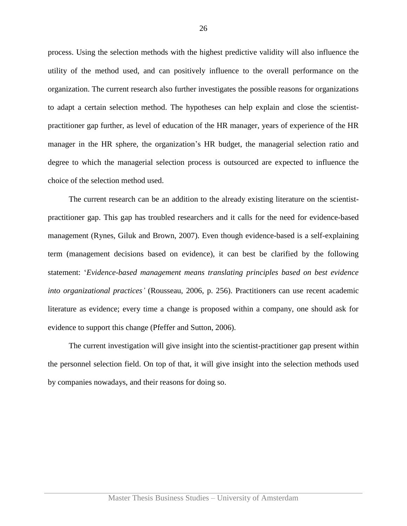process. Using the selection methods with the highest predictive validity will also influence the utility of the method used, and can positively influence to the overall performance on the organization. The current research also further investigates the possible reasons for organizations to adapt a certain selection method. The hypotheses can help explain and close the scientistpractitioner gap further, as level of education of the HR manager, years of experience of the HR manager in the HR sphere, the organization's HR budget, the managerial selection ratio and degree to which the managerial selection process is outsourced are expected to influence the choice of the selection method used.

The current research can be an addition to the already existing literature on the scientistpractitioner gap. This gap has troubled researchers and it calls for the need for evidence-based management (Rynes, Giluk and Brown, 2007). Even though evidence-based is a self-explaining term (management decisions based on evidence), it can best be clarified by the following statement: '*Evidence-based management means translating principles based on best evidence into organizational practices'* (Rousseau, 2006, p. 256). Practitioners can use recent academic literature as evidence; every time a change is proposed within a company, one should ask for evidence to support this change (Pfeffer and Sutton, 2006).

The current investigation will give insight into the scientist-practitioner gap present within the personnel selection field. On top of that, it will give insight into the selection methods used by companies nowadays, and their reasons for doing so.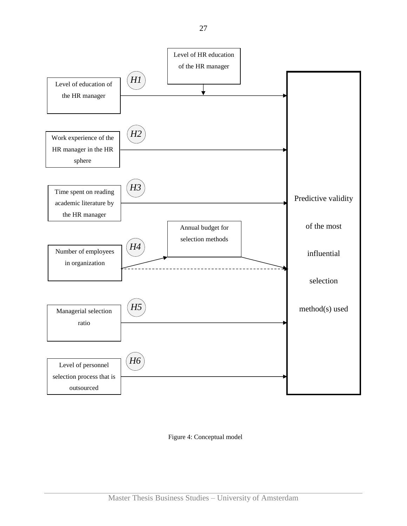

Figure 4: Conceptual model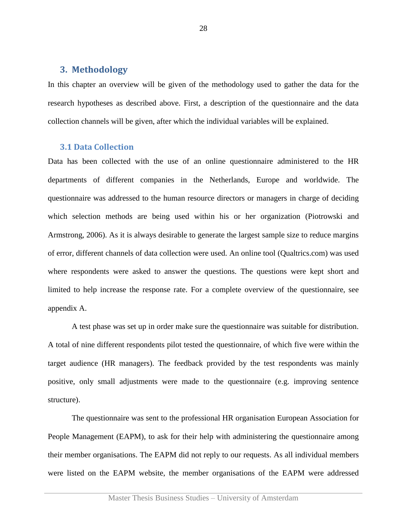#### <span id="page-27-0"></span>**3. Methodology**

In this chapter an overview will be given of the methodology used to gather the data for the research hypotheses as described above. First, a description of the questionnaire and the data collection channels will be given, after which the individual variables will be explained.

#### <span id="page-27-1"></span>**3.1 Data Collection**

Data has been collected with the use of an online questionnaire administered to the HR departments of different companies in the Netherlands, Europe and worldwide. The questionnaire was addressed to the human resource directors or managers in charge of deciding which selection methods are being used within his or her organization (Piotrowski and Armstrong, 2006). As it is always desirable to generate the largest sample size to reduce margins of error, different channels of data collection were used. An online tool (Qualtrics.com) was used where respondents were asked to answer the questions. The questions were kept short and limited to help increase the response rate. For a complete overview of the questionnaire, see appendix A.

A test phase was set up in order make sure the questionnaire was suitable for distribution. A total of nine different respondents pilot tested the questionnaire, of which five were within the target audience (HR managers). The feedback provided by the test respondents was mainly positive, only small adjustments were made to the questionnaire (e.g. improving sentence structure).

The questionnaire was sent to the professional HR organisation European Association for People Management (EAPM), to ask for their help with administering the questionnaire among their member organisations. The EAPM did not reply to our requests. As all individual members were listed on the EAPM website, the member organisations of the EAPM were addressed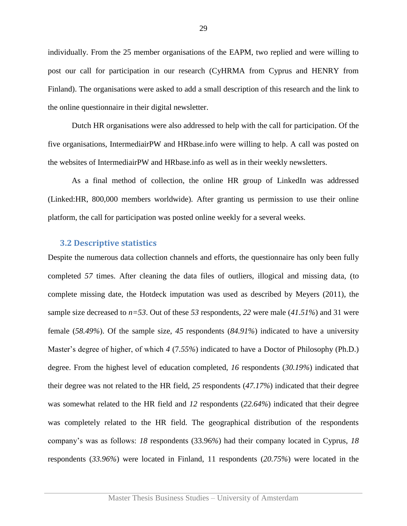individually. From the 25 member organisations of the EAPM, two replied and were willing to post our call for participation in our research (CyHRMA from Cyprus and HENRY from Finland). The organisations were asked to add a small description of this research and the link to the online questionnaire in their digital newsletter.

Dutch HR organisations were also addressed to help with the call for participation. Of the five organisations, IntermediairPW and HRbase.info were willing to help. A call was posted on the websites of IntermediairPW and HRbase.info as well as in their weekly newsletters.

As a final method of collection, the online HR group of LinkedIn was addressed (Linked:HR, 800,000 members worldwide). After granting us permission to use their online platform, the call for participation was posted online weekly for a several weeks.

#### <span id="page-28-0"></span>**3.2 Descriptive statistics**

Despite the numerous data collection channels and efforts, the questionnaire has only been fully completed *57* times. After cleaning the data files of outliers, illogical and missing data, (to complete missing date, the Hotdeck imputation was used as described by Meyers (2011), the sample size decreased to *n=53*. Out of these *53* respondents, *22* were male (*41.51%*) and 31 were female (*58.49%*). Of the sample size, *45* respondents (*84.91%*) indicated to have a university Master's degree of higher, of which *4* (7*.55%*) indicated to have a Doctor of Philosophy (Ph.D.) degree. From the highest level of education completed, *16* respondents (*30.19%*) indicated that their degree was not related to the HR field, *25* respondents (*47.17%*) indicated that their degree was somewhat related to the HR field and *12* respondents (*22.64%*) indicated that their degree was completely related to the HR field. The geographical distribution of the respondents company's was as follows: *18* respondents (33.96*%*) had their company located in Cyprus, *18*  respondents (*33.96%*) were located in Finland, 11 respondents (*20.75%*) were located in the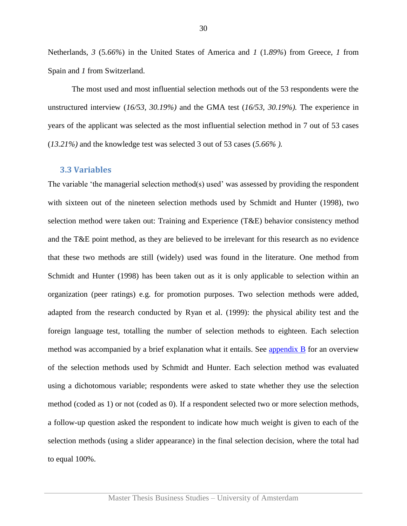Netherlands, *3* (5*.66%*) in the United States of America and *1* (1*.89%*) from Greece, *1* from Spain and *1* from Switzerland.

The most used and most influential selection methods out of the 53 respondents were the unstructured interview (*16/53, 30.19%)* and the GMA test (*16/53, 30.19%).* The experience in years of the applicant was selected as the most influential selection method in 7 out of 53 cases (*13.21%)* and the knowledge test was selected 3 out of 53 cases (*5.66% ).* 

#### <span id="page-29-0"></span>**3.3 Variables**

The variable 'the managerial selection method(s) used' was assessed by providing the respondent with sixteen out of the nineteen selection methods used by Schmidt and Hunter (1998), two selection method were taken out: Training and Experience (T&E) behavior consistency method and the T&E point method, as they are believed to be irrelevant for this research as no evidence that these two methods are still (widely) used was found in the literature. One method from Schmidt and Hunter (1998) has been taken out as it is only applicable to selection within an organization (peer ratings) e.g. for promotion purposes. Two selection methods were added, adapted from the research conducted by Ryan et al. (1999): the physical ability test and the foreign language test, totalling the number of selection methods to eighteen. Each selection method was accompanied by a brief explanation what it entails. See [appendix B](#page-53-0) for an overview of the selection methods used by Schmidt and Hunter. Each selection method was evaluated using a dichotomous variable; respondents were asked to state whether they use the selection method (coded as 1) or not (coded as 0). If a respondent selected two or more selection methods, a follow-up question asked the respondent to indicate how much weight is given to each of the selection methods (using a slider appearance) in the final selection decision, where the total had to equal 100%.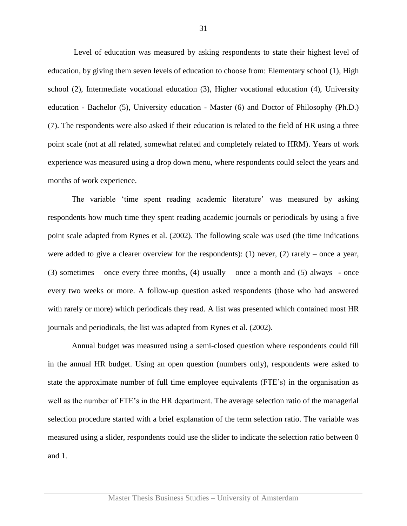Level of education was measured by asking respondents to state their highest level of education, by giving them seven levels of education to choose from: Elementary school (1), High school (2), Intermediate vocational education (3), Higher vocational education (4), University education - Bachelor (5), University education - Master (6) and Doctor of Philosophy (Ph.D.) (7). The respondents were also asked if their education is related to the field of HR using a three point scale (not at all related, somewhat related and completely related to HRM). Years of work experience was measured using a drop down menu, where respondents could select the years and months of work experience.

The variable 'time spent reading academic literature' was measured by asking respondents how much time they spent reading academic journals or periodicals by using a five point scale adapted from Rynes et al. (2002). The following scale was used (the time indications were added to give a clearer overview for the respondents): (1) never, (2) rarely – once a year, (3) sometimes – once every three months, (4) usually – once a month and (5) always - once every two weeks or more. A follow-up question asked respondents (those who had answered with rarely or more) which periodicals they read. A list was presented which contained most HR journals and periodicals, the list was adapted from Rynes et al. (2002).

Annual budget was measured using a semi-closed question where respondents could fill in the annual HR budget. Using an open question (numbers only), respondents were asked to state the approximate number of full time employee equivalents (FTE's) in the organisation as well as the number of FTE's in the HR department. The average selection ratio of the managerial selection procedure started with a brief explanation of the term selection ratio. The variable was measured using a slider, respondents could use the slider to indicate the selection ratio between 0 and 1.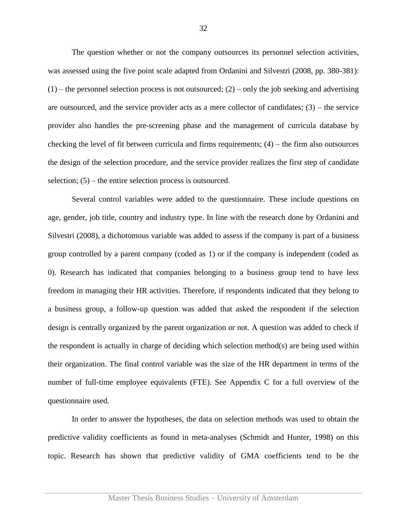The question whether or not the company outsources its personnel selection activities, was assessed using the five point scale adapted from Ordanini and Silvestri (2008, pp. 380-381):  $(1)$  – the personnel selection process is not outsourced;  $(2)$  – only the job seeking and advertising are outsourced, and the service provider acts as a mere collector of candidates; (3) – the service provider also handles the pre-screening phase and the management of curricula database by checking the level of fit between curricula and firms requirements;  $(4)$  – the firm also outsources the design of the selection procedure, and the service provider realizes the first step of candidate selection; (5) – the entire selection process is outsourced.

Several control variables were added to the questionnaire. These include questions on age, gender, job title, country and industry type. In line with the research done by Ordanini and Silvestri (2008), a dichotomous variable was added to assess if the company is part of a business group controlled by a parent company (coded as 1) or if the company is independent (coded as 0). Research has indicated that companies belonging to a business group tend to have less freedom in managing their HR activities. Therefore, if respondents indicated that they belong to a business group, a follow-up question was added that asked the respondent if the selection design is centrally organized by the parent organization or not. A question was added to check if the respondent is actually in charge of deciding which selection method(s) are being used within their organization. The final control variable was the size of the HR department in terms of the number of full-time employee equivalents (FTE). See Appendix C for a full overview of the questionnaire used.

In order to answer the hypotheses, the data on selection methods was used to obtain the predictive validity coefficients as found in meta-analyses (Schmidt and Hunter, 1998) on this topic. Research has shown that predictive validity of GMA coefficients tend to be the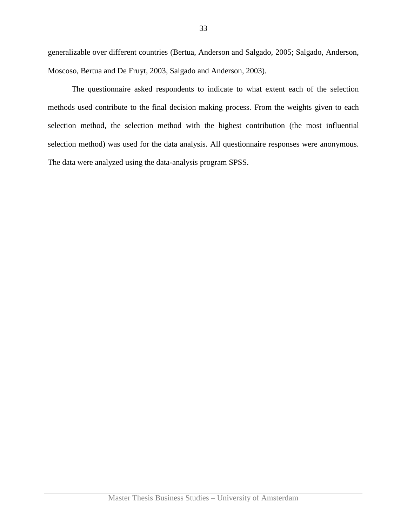generalizable over different countries (Bertua, Anderson and Salgado, 2005; Salgado, Anderson, Moscoso, Bertua and De Fruyt, 2003, Salgado and Anderson, 2003).

The questionnaire asked respondents to indicate to what extent each of the selection methods used contribute to the final decision making process. From the weights given to each selection method, the selection method with the highest contribution (the most influential selection method) was used for the data analysis. All questionnaire responses were anonymous. The data were analyzed using the data-analysis program SPSS.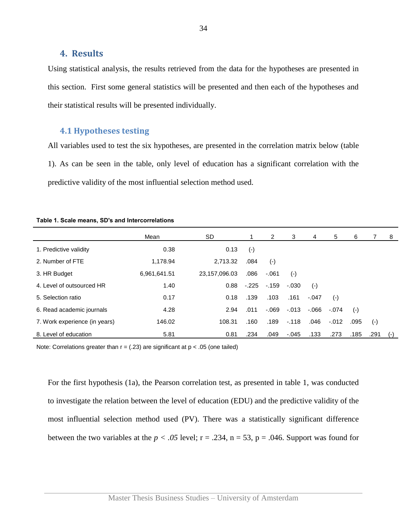#### <span id="page-33-0"></span>**4. Results**

Using statistical analysis, the results retrieved from the data for the hypotheses are presented in this section. First some general statistics will be presented and then each of the hypotheses and their statistical results will be presented individually.

#### <span id="page-33-1"></span>**4.1 Hypotheses testing**

All variables used to test the six hypotheses, are presented in the correlation matrix below (table 1). As can be seen in the table, only level of education has a significant correlation with the predictive validity of the most influential selection method used.

|                               | Mean         | SD.           |           | 2         | 3         | 4       | 5       | 6         |       | - 8   |
|-------------------------------|--------------|---------------|-----------|-----------|-----------|---------|---------|-----------|-------|-------|
| 1. Predictive validity        | 0.38         | 0.13          | $(\cdot)$ |           |           |         |         |           |       |       |
| 2. Number of FTE              | 1,178.94     | 2,713.32      | .084      | $(\cdot)$ |           |         |         |           |       |       |
| 3. HR Budget                  | 6,961,641.51 | 23,157,096.03 | .086      | $-.061$   | $(\cdot)$ |         |         |           |       |       |
| 4. Level of outsourced HR     | 1.40         | 0.88          | $-.225$   | $-159$    | $-.030$   | $(-)$   |         |           |       |       |
| 5. Selection ratio            | 0.17         | 0.18          | .139      | .103      | .161      | $-.047$ | $(-)$   |           |       |       |
| 6. Read academic journals     | 4.28         | 2.94          | .011      | $-.069$   | $-.013$   | -.066   | $-.074$ | $(\cdot)$ |       |       |
| 7. Work experience (in years) | 146.02       | 108.31        | .160      | .189      | $-.118$   | .046    | $-012$  | .095      | $(-)$ |       |
| 8. Level of education         | 5.81         | 0.81          | .234      | .049      | $-.045$   | .133    | .273    | .185      | .291  | $(-)$ |

**Table 1. Scale means, SD's and Intercorrelations**

Note: Correlations greater than  $r = (.23)$  are significant at  $p < .05$  (one tailed)

For the first hypothesis (1a), the Pearson correlation test, as presented in table 1, was conducted to investigate the relation between the level of education (EDU) and the predictive validity of the most influential selection method used (PV). There was a statistically significant difference between the two variables at the  $p < .05$  level;  $r = .234$ ,  $n = 53$ ,  $p = .046$ . Support was found for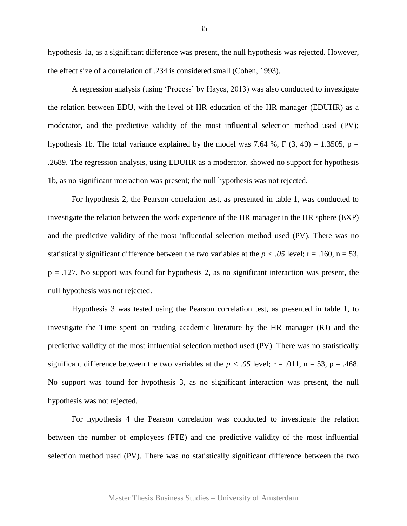hypothesis 1a, as a significant difference was present, the null hypothesis was rejected. However, the effect size of a correlation of .234 is considered small (Cohen, 1993).

A regression analysis (using 'Process' by Hayes, 2013) was also conducted to investigate the relation between EDU, with the level of HR education of the HR manager (EDUHR) as a moderator, and the predictive validity of the most influential selection method used (PV); hypothesis 1b. The total variance explained by the model was 7.64 %, F  $(3, 49) = 1.3505$ , p = .2689. The regression analysis, using EDUHR as a moderator, showed no support for hypothesis 1b, as no significant interaction was present; the null hypothesis was not rejected.

For hypothesis 2, the Pearson correlation test, as presented in table 1, was conducted to investigate the relation between the work experience of the HR manager in the HR sphere (EXP) and the predictive validity of the most influential selection method used (PV). There was no statistically significant difference between the two variables at the  $p < .05$  level;  $r = .160$ ,  $n = 53$ ,  $p = 0.127$ . No support was found for hypothesis 2, as no significant interaction was present, the null hypothesis was not rejected.

Hypothesis 3 was tested using the Pearson correlation test, as presented in table 1, to investigate the Time spent on reading academic literature by the HR manager (RJ) and the predictive validity of the most influential selection method used (PV). There was no statistically significant difference between the two variables at the  $p < .05$  level;  $r = .011$ ,  $n = 53$ ,  $p = .468$ . No support was found for hypothesis 3, as no significant interaction was present, the null hypothesis was not rejected.

For hypothesis 4 the Pearson correlation was conducted to investigate the relation between the number of employees (FTE) and the predictive validity of the most influential selection method used (PV). There was no statistically significant difference between the two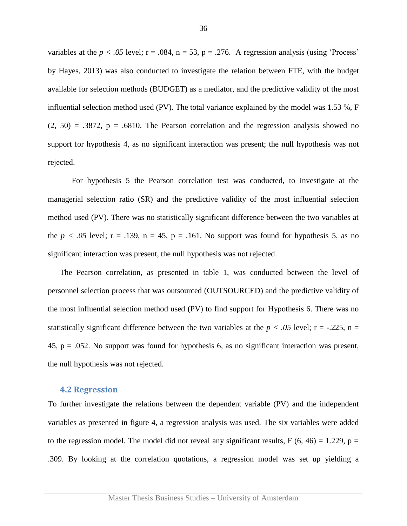variables at the  $p < .05$  level;  $r = .084$ ,  $n = 53$ ,  $p = .276$ . A regression analysis (using 'Process' by Hayes, 2013) was also conducted to investigate the relation between FTE, with the budget available for selection methods (BUDGET) as a mediator, and the predictive validity of the most influential selection method used (PV). The total variance explained by the model was 1.53 %, F  $(2, 50) = .3872$ ,  $p = .6810$ . The Pearson correlation and the regression analysis showed no support for hypothesis 4, as no significant interaction was present; the null hypothesis was not rejected.

For hypothesis 5 the Pearson correlation test was conducted, to investigate at the managerial selection ratio (SR) and the predictive validity of the most influential selection method used (PV). There was no statistically significant difference between the two variables at the  $p < .05$  level;  $r = .139$ ,  $n = 45$ ,  $p = .161$ . No support was found for hypothesis 5, as no significant interaction was present, the null hypothesis was not rejected.

The Pearson correlation, as presented in table 1, was conducted between the level of personnel selection process that was outsourced (OUTSOURCED) and the predictive validity of the most influential selection method used (PV) to find support for Hypothesis 6. There was no statistically significant difference between the two variables at the  $p < .05$  level;  $r = -.225$ ,  $n =$  $45$ ,  $p = .052$ . No support was found for hypothesis 6, as no significant interaction was present, the null hypothesis was not rejected.

#### <span id="page-35-0"></span>**4.2 Regression**

To further investigate the relations between the dependent variable (PV) and the independent variables as presented in figure 4, a regression analysis was used. The six variables were added to the regression model. The model did not reveal any significant results,  $F(6, 46) = 1.229$ ,  $p =$ .309. By looking at the correlation quotations, a regression model was set up yielding a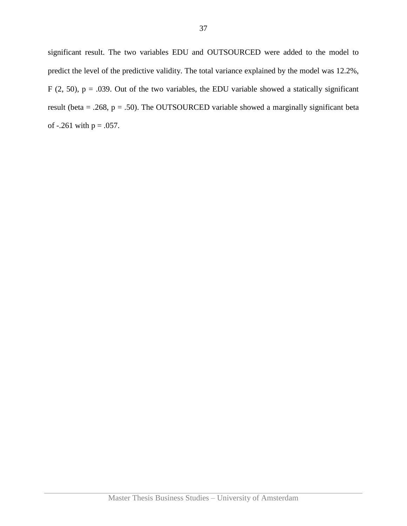significant result. The two variables EDU and OUTSOURCED were added to the model to predict the level of the predictive validity. The total variance explained by the model was 12.2%, F (2, 50),  $p = .039$ . Out of the two variables, the EDU variable showed a statically significant result (beta = .268,  $p = .50$ ). The OUTSOURCED variable showed a marginally significant beta of  $-.261$  with  $p = .057$ .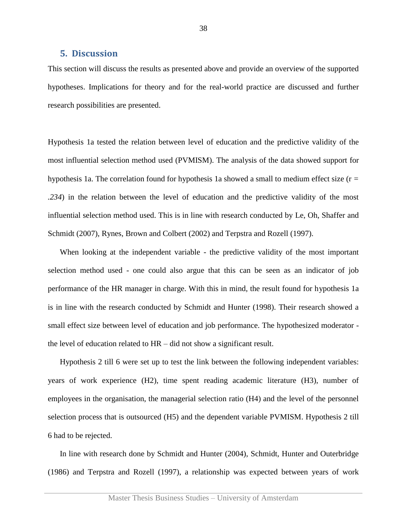#### <span id="page-37-0"></span>**5. Discussion**

This section will discuss the results as presented above and provide an overview of the supported hypotheses. Implications for theory and for the real-world practice are discussed and further research possibilities are presented.

Hypothesis 1a tested the relation between level of education and the predictive validity of the most influential selection method used (PVMISM). The analysis of the data showed support for hypothesis 1a. The correlation found for hypothesis 1a showed a small to medium effect size (r *= .234*) in the relation between the level of education and the predictive validity of the most influential selection method used. This is in line with research conducted by Le, Oh, Shaffer and Schmidt (2007), Rynes, Brown and Colbert (2002) and Terpstra and Rozell (1997).

When looking at the independent variable - the predictive validity of the most important selection method used - one could also argue that this can be seen as an indicator of job performance of the HR manager in charge. With this in mind, the result found for hypothesis 1a is in line with the research conducted by Schmidt and Hunter (1998). Their research showed a small effect size between level of education and job performance. The hypothesized moderator the level of education related to HR – did not show a significant result.

Hypothesis 2 till 6 were set up to test the link between the following independent variables: years of work experience (H2), time spent reading academic literature (H3), number of employees in the organisation, the managerial selection ratio (H4) and the level of the personnel selection process that is outsourced (H5) and the dependent variable PVMISM. Hypothesis 2 till 6 had to be rejected.

In line with research done by Schmidt and Hunter (2004), Schmidt, Hunter and Outerbridge (1986) and Terpstra and Rozell (1997), a relationship was expected between years of work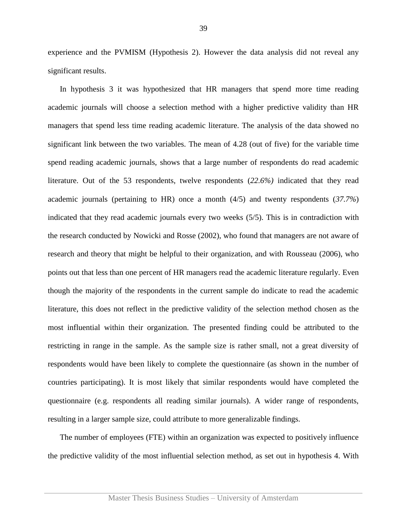experience and the PVMISM (Hypothesis 2). However the data analysis did not reveal any significant results.

In hypothesis 3 it was hypothesized that HR managers that spend more time reading academic journals will choose a selection method with a higher predictive validity than HR managers that spend less time reading academic literature. The analysis of the data showed no significant link between the two variables. The mean of 4.28 (out of five) for the variable time spend reading academic journals, shows that a large number of respondents do read academic literature. Out of the 53 respondents, twelve respondents (*22.6%)* indicated that they read academic journals (pertaining to HR) once a month (4/5) and twenty respondents (*37.7%*) indicated that they read academic journals every two weeks (5/5). This is in contradiction with the research conducted by Nowicki and Rosse (2002), who found that managers are not aware of research and theory that might be helpful to their organization, and with Rousseau (2006), who points out that less than one percent of HR managers read the academic literature regularly. Even though the majority of the respondents in the current sample do indicate to read the academic literature, this does not reflect in the predictive validity of the selection method chosen as the most influential within their organization. The presented finding could be attributed to the restricting in range in the sample. As the sample size is rather small, not a great diversity of respondents would have been likely to complete the questionnaire (as shown in the number of countries participating). It is most likely that similar respondents would have completed the questionnaire (e.g. respondents all reading similar journals). A wider range of respondents, resulting in a larger sample size, could attribute to more generalizable findings.

The number of employees (FTE) within an organization was expected to positively influence the predictive validity of the most influential selection method, as set out in hypothesis 4. With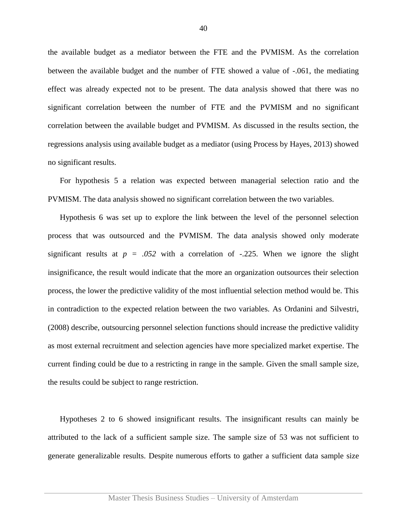the available budget as a mediator between the FTE and the PVMISM. As the correlation between the available budget and the number of FTE showed a value of -.061, the mediating effect was already expected not to be present. The data analysis showed that there was no significant correlation between the number of FTE and the PVMISM and no significant correlation between the available budget and PVMISM. As discussed in the results section, the regressions analysis using available budget as a mediator (using Process by Hayes, 2013) showed no significant results.

For hypothesis 5 a relation was expected between managerial selection ratio and the PVMISM. The data analysis showed no significant correlation between the two variables.

Hypothesis 6 was set up to explore the link between the level of the personnel selection process that was outsourced and the PVMISM. The data analysis showed only moderate significant results at  $p = .052$  with a correlation of  $-.225$ . When we ignore the slight insignificance, the result would indicate that the more an organization outsources their selection process, the lower the predictive validity of the most influential selection method would be. This in contradiction to the expected relation between the two variables. As Ordanini and Silvestri, (2008) describe, outsourcing personnel selection functions should increase the predictive validity as most external recruitment and selection agencies have more specialized market expertise. The current finding could be due to a restricting in range in the sample. Given the small sample size, the results could be subject to range restriction.

Hypotheses 2 to 6 showed insignificant results. The insignificant results can mainly be attributed to the lack of a sufficient sample size. The sample size of 53 was not sufficient to generate generalizable results. Despite numerous efforts to gather a sufficient data sample size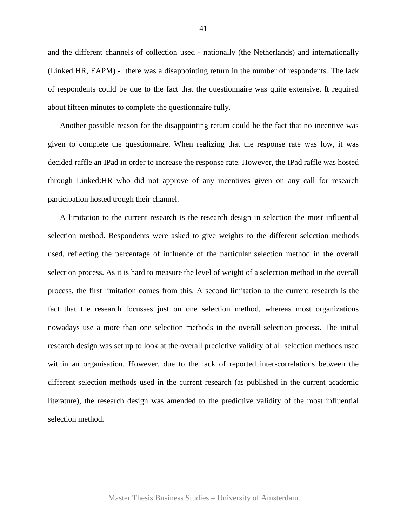and the different channels of collection used - nationally (the Netherlands) and internationally (Linked:HR, EAPM) - there was a disappointing return in the number of respondents. The lack of respondents could be due to the fact that the questionnaire was quite extensive. It required about fifteen minutes to complete the questionnaire fully.

Another possible reason for the disappointing return could be the fact that no incentive was given to complete the questionnaire. When realizing that the response rate was low, it was decided raffle an IPad in order to increase the response rate. However, the IPad raffle was hosted through Linked:HR who did not approve of any incentives given on any call for research participation hosted trough their channel.

A limitation to the current research is the research design in selection the most influential selection method. Respondents were asked to give weights to the different selection methods used, reflecting the percentage of influence of the particular selection method in the overall selection process. As it is hard to measure the level of weight of a selection method in the overall process, the first limitation comes from this. A second limitation to the current research is the fact that the research focusses just on one selection method, whereas most organizations nowadays use a more than one selection methods in the overall selection process. The initial research design was set up to look at the overall predictive validity of all selection methods used within an organisation. However, due to the lack of reported inter-correlations between the different selection methods used in the current research (as published in the current academic literature), the research design was amended to the predictive validity of the most influential selection method.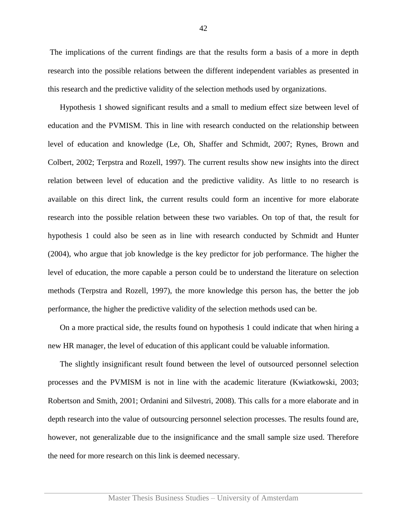The implications of the current findings are that the results form a basis of a more in depth research into the possible relations between the different independent variables as presented in this research and the predictive validity of the selection methods used by organizations.

Hypothesis 1 showed significant results and a small to medium effect size between level of education and the PVMISM. This in line with research conducted on the relationship between level of education and knowledge (Le, Oh, Shaffer and Schmidt, 2007; Rynes, Brown and Colbert, 2002; Terpstra and Rozell, 1997). The current results show new insights into the direct relation between level of education and the predictive validity. As little to no research is available on this direct link, the current results could form an incentive for more elaborate research into the possible relation between these two variables. On top of that, the result for hypothesis 1 could also be seen as in line with research conducted by Schmidt and Hunter (2004), who argue that job knowledge is the key predictor for job performance. The higher the level of education, the more capable a person could be to understand the literature on selection methods (Terpstra and Rozell, 1997), the more knowledge this person has, the better the job performance, the higher the predictive validity of the selection methods used can be.

On a more practical side, the results found on hypothesis 1 could indicate that when hiring a new HR manager, the level of education of this applicant could be valuable information.

The slightly insignificant result found between the level of outsourced personnel selection processes and the PVMISM is not in line with the academic literature (Kwiatkowski, 2003; Robertson and Smith, 2001; Ordanini and Silvestri, 2008). This calls for a more elaborate and in depth research into the value of outsourcing personnel selection processes. The results found are, however, not generalizable due to the insignificance and the small sample size used. Therefore the need for more research on this link is deemed necessary.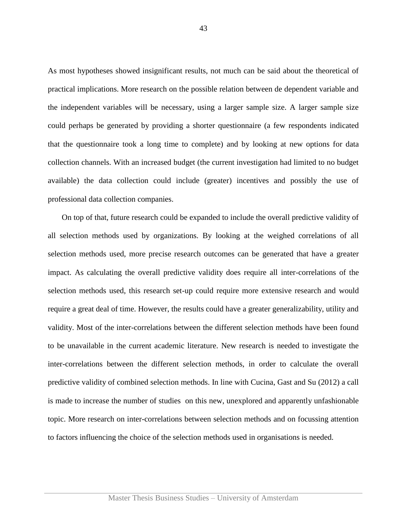As most hypotheses showed insignificant results, not much can be said about the theoretical of practical implications. More research on the possible relation between de dependent variable and the independent variables will be necessary, using a larger sample size. A larger sample size could perhaps be generated by providing a shorter questionnaire (a few respondents indicated that the questionnaire took a long time to complete) and by looking at new options for data collection channels. With an increased budget (the current investigation had limited to no budget available) the data collection could include (greater) incentives and possibly the use of professional data collection companies.

On top of that, future research could be expanded to include the overall predictive validity of all selection methods used by organizations. By looking at the weighed correlations of all selection methods used, more precise research outcomes can be generated that have a greater impact. As calculating the overall predictive validity does require all inter-correlations of the selection methods used, this research set-up could require more extensive research and would require a great deal of time. However, the results could have a greater generalizability, utility and validity. Most of the inter-correlations between the different selection methods have been found to be unavailable in the current academic literature. New research is needed to investigate the inter-correlations between the different selection methods, in order to calculate the overall predictive validity of combined selection methods. In line with Cucina, Gast and Su (2012) a call is made to increase the number of studies on this new, unexplored and apparently unfashionable topic. More research on inter-correlations between selection methods and on focussing attention to factors influencing the choice of the selection methods used in organisations is needed.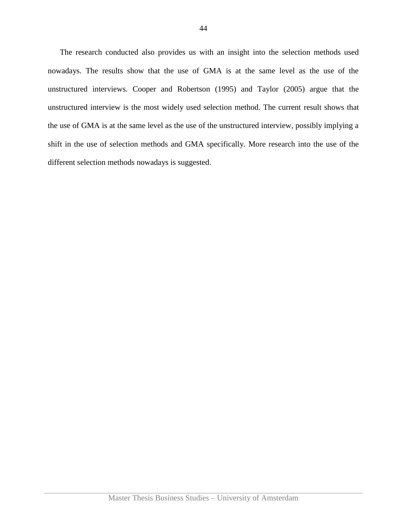The research conducted also provides us with an insight into the selection methods used nowadays. The results show that the use of GMA is at the same level as the use of the unstructured interviews. Cooper and Robertson (1995) and Taylor (2005) argue that the unstructured interview is the most widely used selection method. The current result shows that the use of GMA is at the same level as the use of the unstructured interview, possibly implying a shift in the use of selection methods and GMA specifically. More research into the use of the different selection methods nowadays is suggested.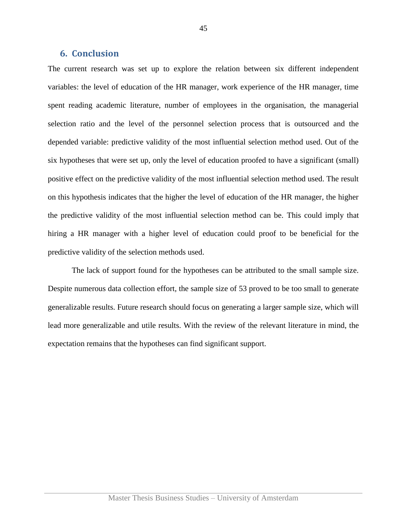#### <span id="page-44-0"></span>**6. Conclusion**

The current research was set up to explore the relation between six different independent variables: the level of education of the HR manager, work experience of the HR manager, time spent reading academic literature, number of employees in the organisation, the managerial selection ratio and the level of the personnel selection process that is outsourced and the depended variable: predictive validity of the most influential selection method used. Out of the six hypotheses that were set up, only the level of education proofed to have a significant (small) positive effect on the predictive validity of the most influential selection method used. The result on this hypothesis indicates that the higher the level of education of the HR manager, the higher the predictive validity of the most influential selection method can be. This could imply that hiring a HR manager with a higher level of education could proof to be beneficial for the predictive validity of the selection methods used.

The lack of support found for the hypotheses can be attributed to the small sample size. Despite numerous data collection effort, the sample size of 53 proved to be too small to generate generalizable results. Future research should focus on generating a larger sample size, which will lead more generalizable and utile results. With the review of the relevant literature in mind, the expectation remains that the hypotheses can find significant support.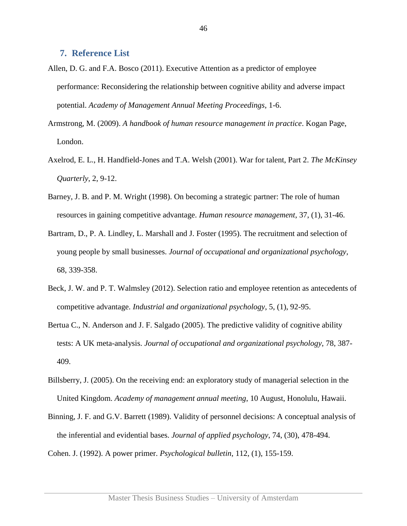#### <span id="page-45-0"></span>**7. Reference List**

- Allen, D. G. and F.A. Bosco (2011). Executive Attention as a predictor of employee performance: Reconsidering the relationship between cognitive ability and adverse impact potential. *Academy of Management Annual Meeting Proceedings*, 1-6.
- Armstrong, M. (2009). *A handbook of human resource management in practice*. Kogan Page, London.
- Axelrod, E. L., H. Handfield-Jones and T.A. Welsh (2001). War for talent, Part 2. *The McKinsey Quarterly*, 2, 9-12.
- Barney, J. B. and P. M. Wright (1998). On becoming a strategic partner: The role of human resources in gaining competitive advantage. *Human resource management*, 37, (1), 31-46.
- Bartram, D., P. A. Lindley, L. Marshall and J. Foster (1995). The recruitment and selection of young people by small businesses. *Journal of occupational and organizational psychology,*  68, 339-358.
- Beck, J. W. and P. T. Walmsley (2012). Selection ratio and employee retention as antecedents of competitive advantage. *Industrial and organizational psychology*, 5, (1), 92-95.
- Bertua C., N. Anderson and J. F. Salgado (2005). The predictive validity of cognitive ability tests: A UK meta-analysis. *Journal of occupational and organizational psychology*, 78, 387- 409.
- Billsberry, J. (2005). On the receiving end: an exploratory study of managerial selection in the United Kingdom. *Academy of management annual meeting*, 10 August, Honolulu, Hawaii.
- Binning, J. F. and G.V. Barrett (1989). Validity of personnel decisions: A conceptual analysis of the inferential and evidential bases. *Journal of applied psychology*, 74, (30), 478-494.
- Cohen. J. (1992). A power primer. *Psychological bulletin*, 112, (1), 155-159.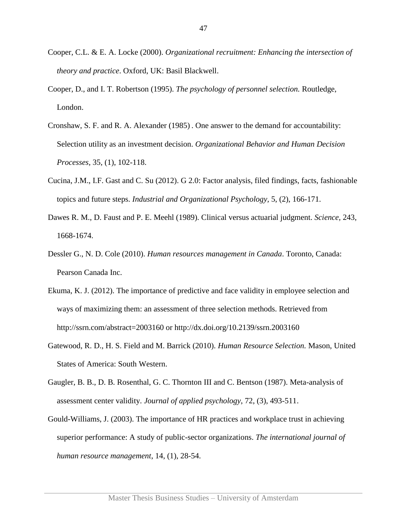- Cooper, C.L. & E. A. Locke (2000). *Organizational recruitment: Enhancing the intersection of theory and practice*. Oxford, UK: Basil Blackwell.
- Cooper, D., and I. T. Robertson (1995). *The psychology of personnel selection.* Routledge, London.
- Cronshaw, S. F. and R. A. Alexander (1985) . One answer to the demand for accountability: Selection utility as an investment decision. *Organizational Behavior and Human Decision Processes,* 35, (1), 102-118.
- Cucina, J.M., I.F. Gast and C. Su (2012). G 2.0: Factor analysis, filed findings, facts, fashionable topics and future steps. *Industrial and Organizational Psychology,* 5, (2), 166-171.
- Dawes R. M., D. Faust and P. E. Meehl (1989). Clinical versus actuarial judgment. *Science,* 243, 1668-1674.
- Dessler G., N. D. Cole (2010). *Human resources management in Canada*. Toronto, Canada: Pearson Canada Inc.
- Ekuma, K. J. (2012). The importance of predictive and face validity in employee selection and ways of maximizing them: an assessment of three selection methods. Retrieved from http://ssrn.com/abstract=2003160 or <http://dx.doi.org/10.2139/ssrn.2003160>
- Gatewood, R. D., H. S. Field and M. Barrick (2010). *Human Resource Selection.* Mason, United States of America: South Western.
- Gaugler, B. B., D. B. Rosenthal, G. C. Thornton III and C. Bentson (1987). Meta-analysis of assessment center validity. *Journal of applied psychology*, 72, (3), 493-511.
- Gould-Williams, J. (2003). The importance of HR practices and workplace trust in achieving superior performance: A study of public-sector organizations. *The international journal of human resource management*, 14, (1), 28-54.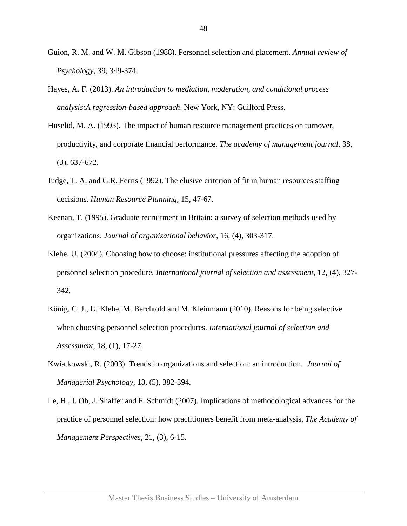- Guion, R. M. and W. M. Gibson (1988). Personnel selection and placement. *Annual review of Psychology*, 39, 349-374.
- Hayes, A. F. (2013). *An introduction to mediation, moderation, and conditional process analysis:A regression-based approach*. New York, NY: Guilford Press.
- Huselid, M. A. (1995). The impact of human resource management practices on turnover, productivity, and corporate financial performance. *The academy of management journal,* 38, (3), 637-672.
- Judge, T. A. and G.R. Ferris (1992). The elusive criterion of fit in human resources staffing decisions. *Human Resource Planning,* 15, 47-67.
- Keenan, T. (1995). Graduate recruitment in Britain: a survey of selection methods used by organizations. *Journal of organizational behavior*, 16, (4), 303-317.
- Klehe, U. (2004). Choosing how to choose: institutional pressures affecting the adoption of personnel selection procedure*. International journal of selection and assessment,* 12, (4), 327- 342.
- König, C. J., U. Klehe, M. Berchtold and M. Kleinmann (2010). Reasons for being selective when choosing personnel selection procedures. *International journal of selection and Assessment*, 18, (1), 17-27.
- Kwiatkowski, R. (2003). Trends in organizations and selection: an introduction. *Journal of Managerial Psychology*, 18, (5), 382-394.
- Le, H., I. Oh, J. Shaffer and F. Schmidt (2007). Implications of methodological advances for the practice of personnel selection: how practitioners benefit from meta-analysis. *The Academy of Management Perspectives,* 21, (3), 6-15.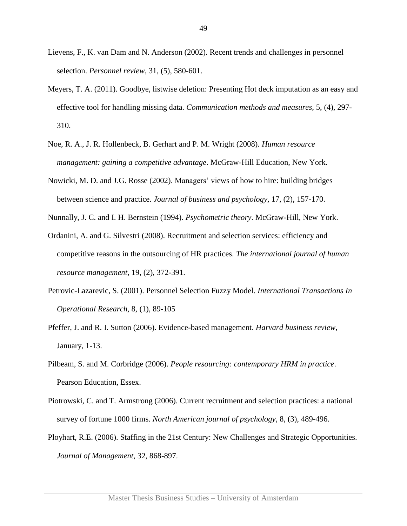- Lievens, F., K. van Dam and N. Anderson (2002). Recent trends and challenges in personnel selection. *Personnel review*, 31, (5), 580-601.
- Meyers, T. A. (2011). Goodbye, listwise deletion: Presenting Hot deck imputation as an easy and effective tool for handling missing data. *Communication methods and measures,* 5, (4), 297- 310.
- Noe, R. A., J. R. Hollenbeck, B. Gerhart and P. M. Wright (2008). *Human resource management: gaining a competitive advantage*. McGraw-Hill Education, New York.
- Nowicki, M. D. and J.G. Rosse (2002). Managers' views of how to hire: building bridges between science and practice. *Journal of business and psychology,* 17, (2), 157-170.

Nunnally, J. C. and I. H. Bernstein (1994). *Psychometric theory*. McGraw-Hill, New York.

- Ordanini, A. and G. Silvestri (2008). Recruitment and selection services: efficiency and competitive reasons in the outsourcing of HR practices. *The international journal of human resource management*, 19, (2), 372-391.
- Petrovic-Lazarevic, S. (2001). Personnel Selection Fuzzy Model. *International Transactions In Operational Research*, 8, (1), 89-105
- Pfeffer, J. and R. I. Sutton (2006). Evidence-based management. *Harvard business review*, January, 1-13.
- Pilbeam, S. and M. Corbridge (2006). *People resourcing: contemporary HRM in practice*. Pearson Education, Essex.
- Piotrowski, C. and T. Armstrong (2006). Current recruitment and selection practices: a national survey of fortune 1000 firms. *North American journal of psychology*, 8, (3), 489-496.
- Ployhart, R.E. (2006). Staffing in the 21st Century: New Challenges and Strategic Opportunities. *Journal of Management*, 32, 868-897.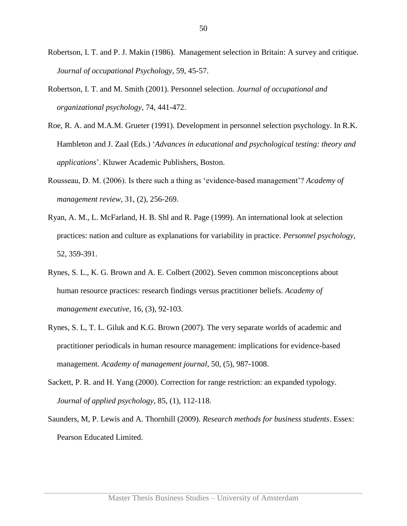- Robertson, I. T. and P. J. Makin (1986). Management selection in Britain: A survey and critique. *Journal of occupational Psychology*, 59, 45-57.
- Robertson, I. T. and M. Smith (2001). Personnel selection*. Journal of occupational and organizational psychology*, 74, 441-472.
- Roe, R. A. and M.A.M. Grueter (1991). Development in personnel selection psychology. In R.K. Hambleton and J. Zaal (Eds.) '*Advances in educational and psychological testing: theory and applications*'. Kluwer Academic Publishers, Boston.
- Rousseau, D. M. (2006). Is there such a thing as 'evidence-based management'? *Academy of management review*, 31, (2), 256-269.
- Ryan, A. M., L. McFarland, H. B. Shl and R. Page (1999). An international look at selection practices: nation and culture as explanations for variability in practice. *Personnel psychology*, 52, 359-391.
- Rynes, S. L., K. G. Brown and A. E. Colbert (2002). Seven common misconceptions about human resource practices: research findings versus practitioner beliefs. *Academy of management executive,* 16, (3), 92-103.
- Rynes, S. L, T. L. Giluk and K.G. Brown (2007). The very separate worlds of academic and practitioner periodicals in human resource management: implications for evidence-based management. *Academy of management journal*, 50, (5), 987-1008.
- Sackett, P. R. and H. Yang (2000). Correction for range restriction: an expanded typology. *Journal of applied psychology*, 85, (1), 112-118.
- Saunders, M, P. Lewis and A. Thornhill (2009). *Research methods for business students*. Essex: Pearson Educated Limited.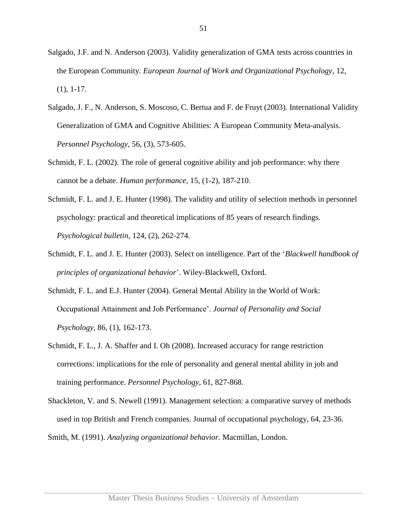- Salgado, J.F. and N. Anderson (2003). Validity generalization of GMA tests across countries in the European Community. *European Journal of Work and Organizational Psychology*, 12, (1), 1-17.
- Salgado, J. F., N. Anderson, S. Moscoso, C. Bertua and F. de Fruyt (2003). International Validity Generalization of GMA and Cognitive Abilities: A European Community Meta-analysis. *Personnel Psychology*, 56, (3), 573-605.
- Schmidt, F. L. (2002). The role of general cognitive ability and job performance: why there cannot be a debate. *Human performance*, 15, (1-2), 187-210.
- Schmidt, F. L. and J. E. Hunter (1998). The validity and utility of selection methods in personnel psychology: practical and theoretical implications of 85 years of research findings. *Psychological bulletin*, 124, (2), 262-274.
- Schmidt, F. L. and J. E. Hunter (2003). Select on intelligence. Part of the '*Blackwell handbook of principles of organizational behavior*'. Wiley-Blackwell, Oxford.
- Schmidt, F. L. and E.J. Hunter (2004). General Mental Ability in the World of Work: Occupational Attainment and Job Performance'. *Journal of Personality and Social Psychology*, 86, (1), 162-173.
- Schmidt, F. L., J. A. Shaffer and I. Oh (2008). Increased accuracy for range restriction corrections: implications for the role of personality and general mental ability in job and training performance. *Personnel Psychology*, 61, 827-868.
- Shackleton, V. and S. Newell (1991). Management selection: a comparative survey of methods used in top British and French companies. Journal of occupational psychology, 64, 23-36. Smith, M. (1991). *Analyzing organizational behavior.* Macmillan, London.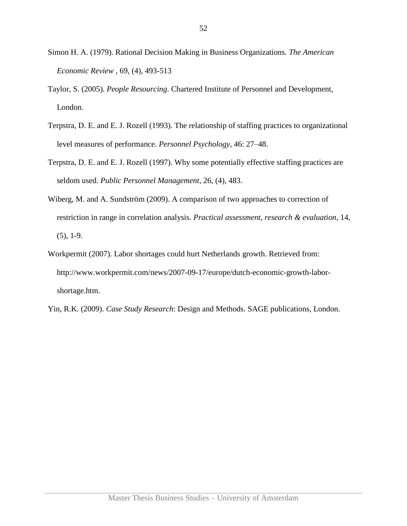- Simon H. A. (1979). Rational Decision Making in Business Organizations. *The American Economic Review* , 69, (4), 493-513
- Taylor, S. (2005). *People Resourcing*. Chartered Institute of Personnel and Development, London.
- Terpstra, D. E. and E. J. Rozell (1993). The relationship of staffing practices to organizational level measures of performance. *Personnel Psychology*, 46: 27–48.
- Terpstra, D. E. and E. J. Rozell (1997). Why some potentially effective staffing practices are seldom used. *Public Personnel Management*, 26, (4), 483.
- Wiberg, M. and A. Sundström (2009). A comparison of two approaches to correction of restriction in range in correlation analysis. *Practical assessment, research & evaluation*, 14,  $(5)$ , 1-9.
- Workpermit (2007). Labor shortages could hurt Netherlands growth. Retrieved from: http://www.workpermit.com/news/2007-09-17/europe/dutch-economic-growth-laborshortage.htm.
- Yin, R.K. (2009). *Case Study Research*: Design and Methods. SAGE publications, London.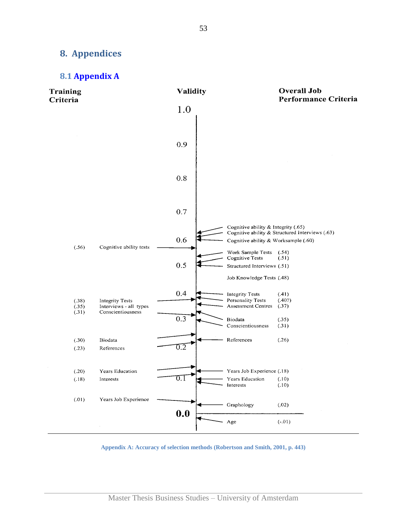## <span id="page-52-0"></span>**8. Appendices**

#### <span id="page-52-1"></span>**8.1 [Appendix A](#page-14-0)**



**Appendix A: Accuracy of selection methods (Robertson and Smith, 2001, p. 443)**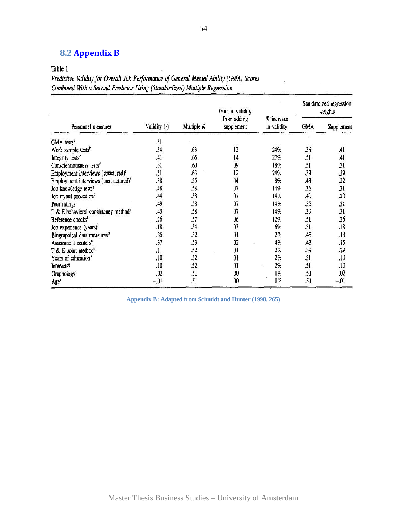## <span id="page-53-0"></span>**8.2 [Appendix B](#page-27-0)**

Table 1

Predictive Validity for Overall Job Performance of General Mental Ability (GMA) Scores Combined With a Second Predictor Using (Standardized) Multiple Regression

|                                                   |              |              | Gain in validity          |                           | Standardized regression<br>weights |            |  |
|---------------------------------------------------|--------------|--------------|---------------------------|---------------------------|------------------------------------|------------|--|
| Personnel measures                                | Validity (r) | Multiple $R$ | from adding<br>supplement | % increase<br>in validity | <b>GMA</b>                         | Supplement |  |
| GMA tests <sup>a</sup>                            | .51          |              |                           |                           |                                    |            |  |
| Work sample tests <sup>b</sup>                    | .54          | .63          | .12                       | 24%                       | .36                                | 41         |  |
| Integrity tests <sup>e</sup>                      | .41          | .65          | .14                       | 27%                       | .51                                | .41        |  |
| Conscientiousness tests <sup>4</sup>              | .31          | .60          | .09                       | 18%                       | .51                                | .31        |  |
| Employment interviews (structured) <sup>e</sup>   | .51          | .63          | .12                       | 24%                       | .39                                | .39        |  |
| Employment interviews (unstructured) <sup>f</sup> | .38          | .55          | .04                       | 8%                        | .43                                | 22         |  |
| Job knowledge tests <sup>8</sup>                  | .48          | .58          | .07                       | 14%                       | .36                                | .31        |  |
| Job tryout procedure <sup>h</sup>                 | ,44          | .58          | .07                       | 14%                       | .40                                | .20        |  |
| Peer ratings <sup>1</sup>                         | .49          | .58          | .07                       | 14%                       | .35                                | .31        |  |
| T & E behavioral consistency method <sup>i</sup>  | .45          | .58          | .07                       | 14%                       | .39                                | .31        |  |
| Reference checks <sup>k</sup>                     | .26          | .57          | .06                       | 12%                       | .51                                | .26        |  |
| Job experience (years) <sup>1</sup>               | .18          | .54          | .03                       | 6%                        | .51                                | .18        |  |
| Biographical data measures <sup>m</sup>           | .35          | .52          | 10.                       | 2%                        | .45                                | .13        |  |
| Assessment centers <sup>n</sup>                   | .37          | .53          | .02                       | 4%                        | .43                                | .15        |  |
| $T$ & E point method <sup>o</sup>                 | .11          | .52          | .01                       | 2%                        | .39                                | .29        |  |
| Years of education <sup>p</sup>                   | .10          | .52          | .01                       | 2%                        | .51                                | .10        |  |
| <b>Interests<sup>q</sup></b>                      | .10          | .52          | .01                       | 2%                        | .51                                | .10        |  |
| Graphology <sup>r</sup>                           | .02          | .51          | 00                        | 0%                        | .51                                | .02        |  |
| Age <sup>*</sup>                                  | $-.01$       | .51          | 00                        | $0\%$                     | .51                                | $-0.01$    |  |

**Appendix B: Adapted from Schmidt and Hunter (1998, 265)**

 $\bar{\Sigma}$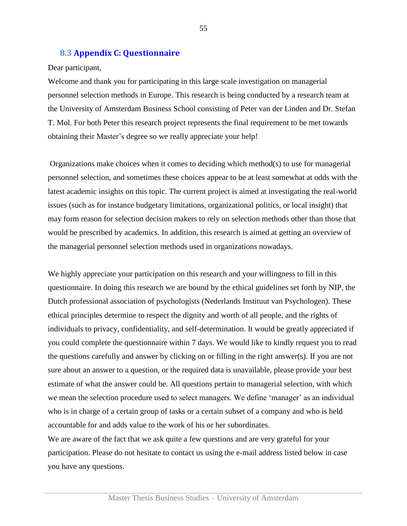#### <span id="page-54-0"></span>**8.3 [Appendix C:](#page-27-0) Questionnaire**

#### Dear participant,

Welcome and thank you for participating in this large scale investigation on managerial personnel selection methods in Europe. This research is being conducted by a research team at the University of Amsterdam Business School consisting of Peter van der Linden and Dr. Stefan T. Mol. For both Peter this research project represents the final requirement to be met towards obtaining their Master's degree so we really appreciate your help!

Organizations make choices when it comes to deciding which method(s) to use for managerial personnel selection, and sometimes these choices appear to be at least somewhat at odds with the latest academic insights on this topic. The current project is aimed at investigating the real-world issues (such as for instance budgetary limitations, organizational politics, or local insight) that may form reason for selection decision makers to rely on selection methods other than those that would be prescribed by academics. In addition, this research is aimed at getting an overview of the managerial personnel selection methods used in organizations nowadays.

We highly appreciate your participation on this research and your willingness to fill in this questionnaire. In doing this research we are bound by the ethical guidelines set forth by NIP, the Dutch professional association of psychologists (Nederlands Instituut van Psychologen). These ethical principles determine to respect the dignity and worth of all people, and the rights of individuals to privacy, confidentiality, and self-determination. It would be greatly appreciated if you could complete the questionnaire within 7 days. We would like to kindly request you to read the questions carefully and answer by clicking on or filling in the right answer(s). If you are not sure about an answer to a question, or the required data is unavailable, please provide your best estimate of what the answer could be. All questions pertain to managerial selection, with which we mean the selection procedure used to select managers. We define 'manager' as an individual who is in charge of a certain group of tasks or a certain subset of a company and who is held accountable for and adds value to the work of his or her subordinates.

We are aware of the fact that we ask quite a few questions and are very grateful for your participation. Please do not hesitate to contact us using the e-mail address listed below in case you have any questions.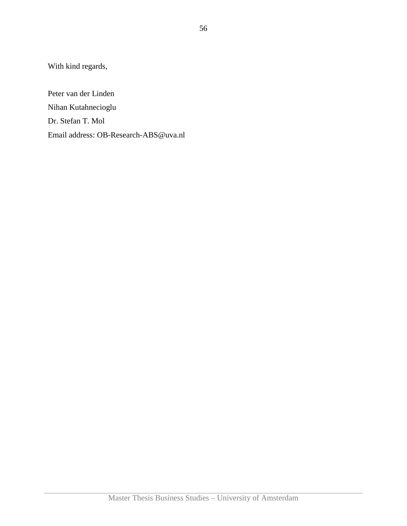With kind regards,

Peter van der Linden Nihan Kutahnecioglu Dr. Stefan T. Mol Email address: OB-Research-ABS@uva.nl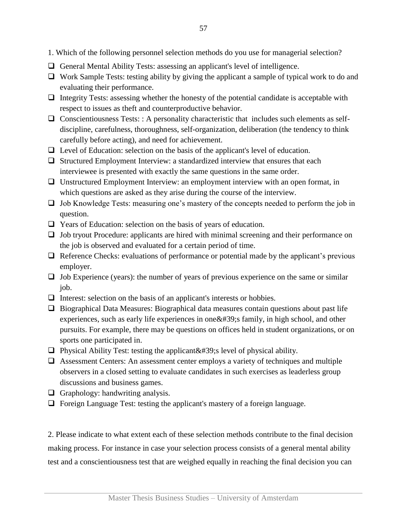- 1. Which of the following personnel selection methods do you use for managerial selection?
- General Mental Ability Tests: assessing an applicant's level of intelligence.
- $\Box$  Work Sample Tests: testing ability by giving the applicant a sample of typical work to do and evaluating their performance.
- $\Box$  Integrity Tests: assessing whether the honesty of the potential candidate is acceptable with respect to issues as theft and counterproductive behavior.
- $\Box$  Conscientiousness Tests: : A personality characteristic that includes such elements as selfdiscipline, carefulness, thoroughness, self-organization, deliberation (the tendency to think carefully before acting), and need for achievement.
- $\Box$  Level of Education: selection on the basis of the applicant's level of education.
- $\Box$  Structured Employment Interview: a standardized interview that ensures that each interviewee is presented with exactly the same questions in the same order.
- Unstructured Employment Interview: an employment interview with an open format, in which questions are asked as they arise during the course of the interview.
- $\Box$  Job Knowledge Tests: measuring one's mastery of the concepts needed to perform the job in question.
- Years of Education: selection on the basis of years of education.
- Job tryout Procedure: applicants are hired with minimal screening and their performance on the job is observed and evaluated for a certain period of time.
- $\Box$  Reference Checks: evaluations of performance or potential made by the applicant's previous employer.
- $\Box$  Job Experience (years): the number of years of previous experience on the same or similar job.
- $\Box$  Interest: selection on the basis of an applicant's interests or hobbies.
- $\Box$  Biographical Data Measures: Biographical data measures contain questions about past life experiences, such as early life experiences in one  $&\#39$ ; family, in high school, and other pursuits. For example, there may be questions on offices held in student organizations, or on sports one participated in.
- **Physical Ability Test: testing the applicant**  $\&\#39$ **; level of physical ability.**
- Assessment Centers: An assessment center employs a variety of techniques and multiple observers in a closed setting to evaluate candidates in such exercises as leaderless group discussions and business games.
- $\Box$  Graphology: handwriting analysis.
- $\Box$  Foreign Language Test: testing the applicant's mastery of a foreign language.

2. Please indicate to what extent each of these selection methods contribute to the final decision making process. For instance in case your selection process consists of a general mental ability test and a conscientiousness test that are weighed equally in reaching the final decision you can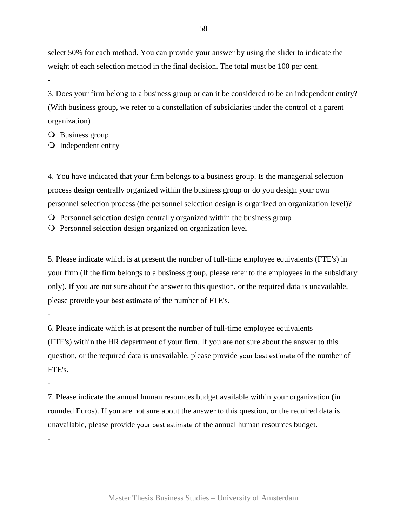select 50% for each method. You can provide your answer by using the slider to indicate the weight of each selection method in the final decision. The total must be 100 per cent.

3. Does your firm belong to a business group or can it be considered to be an independent entity? (With business group, we refer to a constellation of subsidiaries under the control of a parent organization)

**O** Business group

-

-

-

-

**O** Independent entity

4. You have indicated that your firm belongs to a business group. Is the managerial selection process design centrally organized within the business group or do you design your own personnel selection process (the personnel selection design is organized on organization level)?

- $\Omega$  Personnel selection design centrally organized within the business group
- Personnel selection design organized on organization level

5. Please indicate which is at present the number of full-time employee equivalents (FTE's) in your firm (If the firm belongs to a business group, please refer to the employees in the subsidiary only). If you are not sure about the answer to this question, or the required data is unavailable, please provide your best estimate of the number of FTE's.

6. Please indicate which is at present the number of full-time employee equivalents (FTE's) within the HR department of your firm. If you are not sure about the answer to this question, or the required data is unavailable, please provide your best estimate of the number of FTE's.

7. Please indicate the annual human resources budget available within your organization (in rounded Euros). If you are not sure about the answer to this question, or the required data is unavailable, please provide your best estimate of the annual human resources budget.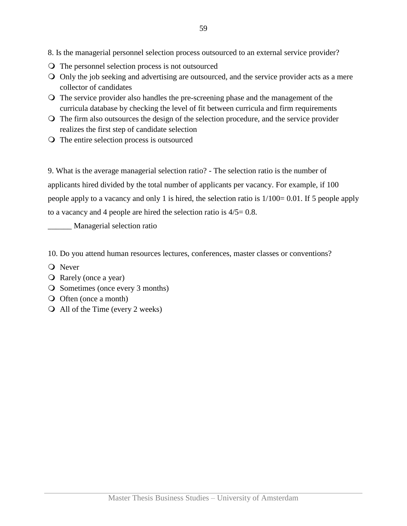8. Is the managerial personnel selection process outsourced to an external service provider?

- The personnel selection process is not outsourced
- Only the job seeking and advertising are outsourced, and the service provider acts as a mere collector of candidates
- The service provider also handles the pre-screening phase and the management of the curricula database by checking the level of fit between curricula and firm requirements
- The firm also outsources the design of the selection procedure, and the service provider realizes the first step of candidate selection
- The entire selection process is outsourced

9. What is the average managerial selection ratio? - The selection ratio is the number of applicants hired divided by the total number of applicants per vacancy. For example, if 100 people apply to a vacancy and only 1 is hired, the selection ratio is 1/100= 0.01. If 5 people apply to a vacancy and 4 people are hired the selection ratio is 4/5= 0.8.

\_\_\_\_\_\_ Managerial selection ratio

10. Do you attend human resources lectures, conferences, master classes or conventions?

- **O** Never
- Rarely (once a year)
- O Sometimes (once every 3 months)
- O Often (once a month)
- All of the Time (every 2 weeks)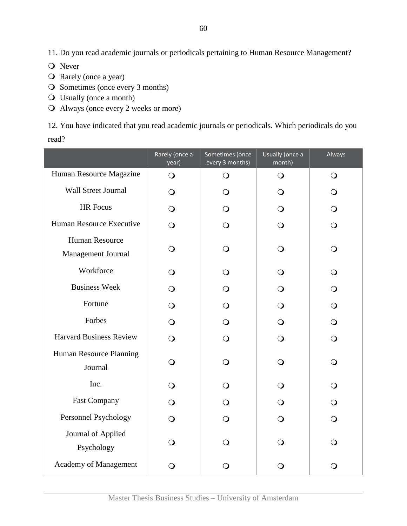11. Do you read academic journals or periodicals pertaining to Human Resource Management?

**O** Never

- O Rarely (once a year)
- O Sometimes (once every 3 months)
- Usually (once a month)
- Always (once every 2 weeks or more)

12. You have indicated that you read academic journals or periodicals. Which periodicals do you read?

|                                             | Rarely (once a<br>year) | Sometimes (once<br>every 3 months) | Usually (once a<br>month) | Always         |
|---------------------------------------------|-------------------------|------------------------------------|---------------------------|----------------|
| Human Resource Magazine                     | $\bigcirc$              | $\bigcirc$                         | $\bigcirc$                | $\bigcirc$     |
| Wall Street Journal                         | $\Omega$                | $\Omega$                           | Q                         | $\Omega$       |
| HR Focus                                    | $\overline{O}$          | $\Omega$                           | $\bigcirc$                | $\bigcirc$     |
| Human Resource Executive                    | $\overline{O}$          | O                                  | $\bigcirc$                | $\overline{O}$ |
| <b>Human Resource</b><br>Management Journal | O                       | O                                  | $\Omega$                  | $\bigcirc$     |
| Workforce                                   | $\bigcirc$              | $\Omega$                           | $\bigcirc$                | $\bigcirc$     |
| <b>Business Week</b>                        | $\Omega$                | $\Omega$                           | $\Omega$                  | $\overline{O}$ |
| Fortune                                     | $\Omega$                | O                                  | $\bigcirc$                | $\bigcirc$     |
| Forbes                                      | $\Omega$                | ∩                                  | $\bigcirc$                | $\bigcirc$     |
| <b>Harvard Business Review</b>              | $\Omega$                | O                                  | $\overline{O}$            | $\overline{O}$ |
| Human Resource Planning<br>Journal          | $\bigcirc$              | $\Omega$                           | $\bigcirc$                | $\bigcirc$     |
| Inc.                                        | $\bigcirc$              | $\Omega$                           | $\bigcirc$                | $\bigcirc$     |
| <b>Fast Company</b>                         | $\bigcirc$              | O                                  | $\bigcirc$                | $\bigcirc$     |
| Personnel Psychology                        | $\overline{O}$          | $\Omega$                           | $\Omega$                  | $\overline{O}$ |
| Journal of Applied<br>Psychology            | ∩                       | $\Omega$                           | ∩                         | ∩              |
| Academy of Management                       | O                       | O                                  | O                         | $\bigcirc$     |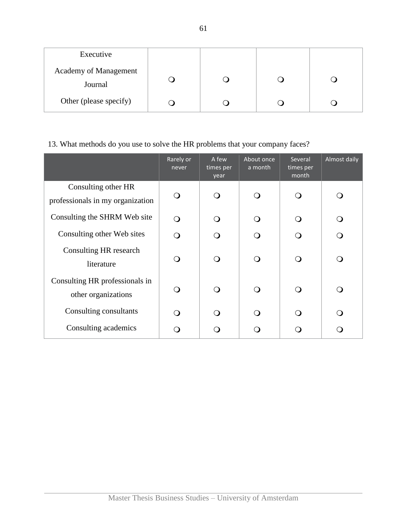| Executive                        |  |  |
|----------------------------------|--|--|
| Academy of Management<br>Journal |  |  |
| Other (please specify)           |  |  |

## 13. What methods do you use to solve the HR problems that your company faces?

|                                                         | Rarely or<br>never | A few<br>times per<br>year | About once<br>a month | Several<br>times per<br>month | Almost daily |
|---------------------------------------------------------|--------------------|----------------------------|-----------------------|-------------------------------|--------------|
| Consulting other HR<br>professionals in my organization | $\Omega$           | $\bigcirc$                 | ∩                     | ∩                             |              |
| Consulting the SHRM Web site                            | ∩                  | ∩                          |                       |                               |              |
| Consulting other Web sites                              | ∩                  | ∩                          | ∩                     | ∩                             |              |
| Consulting HR research<br>literature                    | $\Omega$           | $\bigcirc$                 | ∩                     | ∩                             |              |
| Consulting HR professionals in<br>other organizations   | ∩                  | $\Omega$                   | ∩                     | ∩                             |              |
| Consulting consultants                                  | ∩                  | ∩                          |                       |                               |              |
| Consulting academics                                    |                    |                            |                       |                               |              |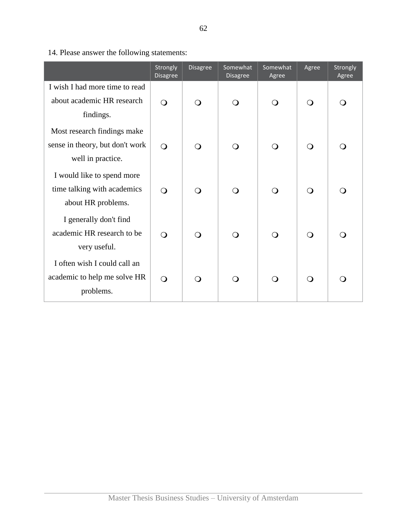|                                                                                 | Strongly<br><b>Disagree</b> | <b>Disagree</b> | Somewhat<br>Disagree | Somewhat<br>Agree | Agree      | Strongly<br>Agree |
|---------------------------------------------------------------------------------|-----------------------------|-----------------|----------------------|-------------------|------------|-------------------|
| I wish I had more time to read                                                  |                             |                 |                      |                   |            |                   |
| about academic HR research                                                      | $\Omega$                    | $\circ$         | $\Omega$             | $\bigcirc$        | $\Omega$   | $\Omega$          |
| findings.<br>Most research findings make                                        |                             |                 |                      |                   |            |                   |
| sense in theory, but don't work<br>well in practice.                            | $\bigcirc$                  | $\bigcirc$      | $\bigcirc$           | $\bigcirc$        | $\Omega$   | $\bigcirc$        |
| I would like to spend more<br>time talking with academics<br>about HR problems. | $\bigcirc$                  | $\bigcirc$      | $\bigcirc$           | $\bigcirc$        | $\Omega$   | $\bigcirc$        |
| I generally don't find<br>academic HR research to be<br>very useful.            | $\bigcirc$                  | $\bigcirc$      | $\bigcirc$           | $\bigcirc$        | $\bigcirc$ | ∩                 |
| I often wish I could call an<br>academic to help me solve HR<br>problems.       | $\bigcirc$                  | $\Omega$        | $\Omega$             | $\circ$           | $\Omega$   | $\Omega$          |

14. Please answer the following statements: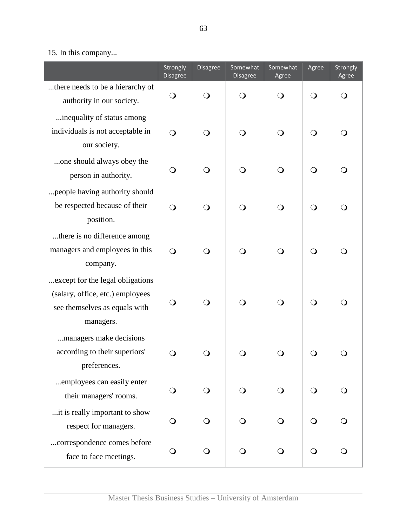## 15. In this company...

|                                                                                                                     | Strongly<br>Disagree | <b>Disagree</b> | Somewhat<br>Disagree | Somewhat<br>Agree | Agree      | Strongly<br>Agree |
|---------------------------------------------------------------------------------------------------------------------|----------------------|-----------------|----------------------|-------------------|------------|-------------------|
| there needs to be a hierarchy of<br>authority in our society.                                                       | $\bigcirc$           | $\bigcirc$      | $\bigcirc$           | $\bigcirc$        | $\bigcirc$ | $\bigcirc$        |
| inequality of status among<br>individuals is not acceptable in<br>our society.                                      | $\bigcirc$           | $\bigcirc$      | $\bigcirc$           | $\bigcirc$        | $\bigcirc$ | $\bigcirc$        |
| one should always obey the<br>person in authority.                                                                  | $\bigcirc$           | $\bigcirc$      | $\circ$              | $\bigcirc$        | $\bigcirc$ | $\bigcirc$        |
| people having authority should<br>be respected because of their<br>position.                                        | $\bigcirc$           | $\bigcirc$      | $\bigcirc$           | $\bigcirc$        | $\bigcirc$ | $\bigcirc$        |
| there is no difference among<br>managers and employees in this<br>company.                                          | $\bigcirc$           | $\bigcirc$      | $\bigcirc$           | $\bigcirc$        | $\bigcirc$ | $\bigcirc$        |
| except for the legal obligations.<br>(salary, office, etc.) employees<br>see themselves as equals with<br>managers. | $\bigcirc$           | $\bigcirc$      | $\bigcirc$           | $\bigcirc$        | $\bigcirc$ | $\bigcirc$        |
| managers make decisions<br>according to their superiors'<br>preferences.                                            | $\bigcirc$           | O               | O                    | ⊖)                | $\bigcirc$ | $\cup$            |
| employees can easily enter<br>their managers' rooms.                                                                | $\bigcirc$           | ∩               | $\circ$              | Q                 | $\bigcirc$ | O                 |
| it is really important to show<br>respect for managers.                                                             | $\mathsf{O}$         | $\Omega$        | ∩)                   | $\Omega$          | $\bigcirc$ | $\bigcirc$        |
| correspondence comes before<br>face to face meetings.                                                               | O                    | O               | $\Omega$             | $\Omega$          | $\bigcirc$ | $\bigcirc$        |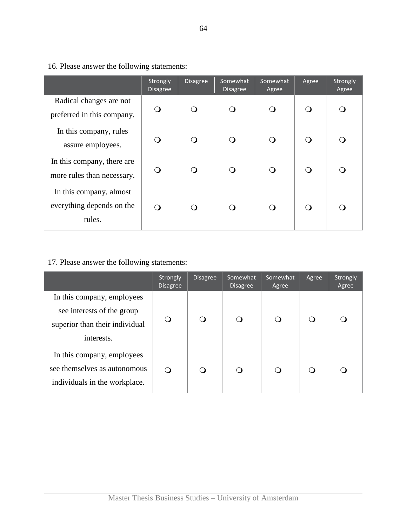|                                                                | Strongly<br><b>Disagree</b> | <b>Disagree</b> | Somewhat<br><b>Disagree</b> | Somewhat<br>Agree | Agree            | Strongly<br>Agree |
|----------------------------------------------------------------|-----------------------------|-----------------|-----------------------------|-------------------|------------------|-------------------|
| Radical changes are not<br>preferred in this company.          | $\bigcirc$                  | ∩               | $\Omega$                    | ∩                 | $\Omega$         |                   |
| In this company, rules<br>assure employees.                    | $\bigcirc$                  | ∩               | $\Omega$                    | ∩                 | ∩                |                   |
| In this company, there are<br>more rules than necessary.       | $\Omega$                    | ∩               | O                           | ∩                 | $\Omega$         |                   |
| In this company, almost<br>everything depends on the<br>rules. | $\Omega$                    |                 | ∩                           |                   | $\left( \right)$ |                   |

16. Please answer the following statements:

## 17. Please answer the following statements:

|                                                                                                          | Strongly<br><b>Disagree</b> | <b>Disagree</b> | Somewhat<br><b>Disagree</b> | Somewhat<br>Agree | Agree    | Strongly<br>Agree |
|----------------------------------------------------------------------------------------------------------|-----------------------------|-----------------|-----------------------------|-------------------|----------|-------------------|
| In this company, employees<br>see interests of the group<br>superior than their individual<br>interests. | ∩                           |                 |                             | ∩                 |          |                   |
| In this company, employees<br>see themselves as autonomous<br>individuals in the workplace.              | $\Omega$                    |                 |                             | ∩                 | $\Omega$ |                   |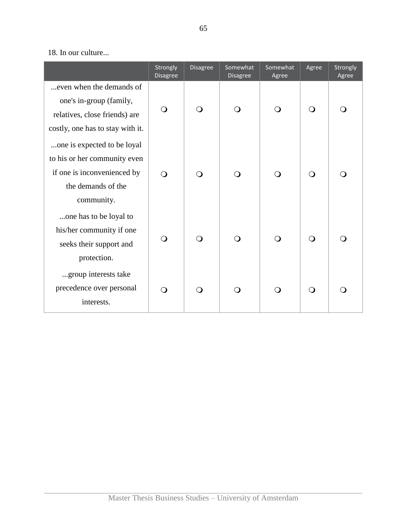## 18. In our culture...

|                                                                                                                                | Strongly<br><b>Disagree</b> | <b>Disagree</b> | Somewhat<br><b>Disagree</b> | Somewhat<br>Agree | Agree      | Strongly<br>Agree |
|--------------------------------------------------------------------------------------------------------------------------------|-----------------------------|-----------------|-----------------------------|-------------------|------------|-------------------|
| even when the demands of<br>one's in-group (family,<br>relatives, close friends) are<br>costly, one has to stay with it.       | $\bigcirc$                  | $\bigcirc$      | $\bigcirc$                  | $\Omega$          | $\Omega$   | $\bigcirc$        |
| one is expected to be loyal<br>to his or her community even<br>if one is inconvenienced by<br>the demands of the<br>community. | $\circ$                     | $\Omega$        | $\Omega$                    | $\Omega$          | $\bigcirc$ | $\bigcirc$        |
| one has to be loyal to<br>his/her community if one<br>seeks their support and<br>protection.                                   | $\Omega$                    | $\bigcirc$      | $\Omega$                    | $\Omega$          | $\Omega$   | $\bigcirc$        |
| group interests take<br>precedence over personal<br>interests.                                                                 | $\Omega$                    | $\Omega$        | $\Omega$                    | $\Omega$          | $\Omega$   | $\bigcirc$        |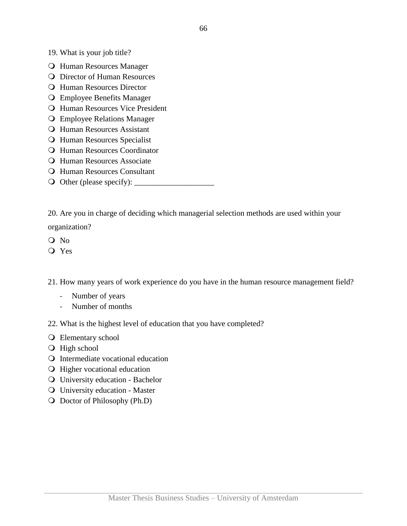19. What is your job title?

- Human Resources Manager
- **Q** Director of Human Resources
- **Q** Human Resources Director
- Employee Benefits Manager
- **O** Human Resources Vice President
- Employee Relations Manager
- Human Resources Assistant
- **Q** Human Resources Specialist
- **Q** Human Resources Coordinator
- **O** Human Resources Associate
- **Q** Human Resources Consultant
- Other (please specify): \_\_\_\_\_\_\_\_\_\_\_\_\_\_\_\_\_\_\_\_

20. Are you in charge of deciding which managerial selection methods are used within your

organization?

- Q No
- Yes

21. How many years of work experience do you have in the human resource management field?

- Number of years
- Number of months
- 22. What is the highest level of education that you have completed?
- **O** Elementary school
- **O** High school
- Intermediate vocational education
- **Q** Higher vocational education
- University education Bachelor
- University education Master
- Doctor of Philosophy (Ph.D)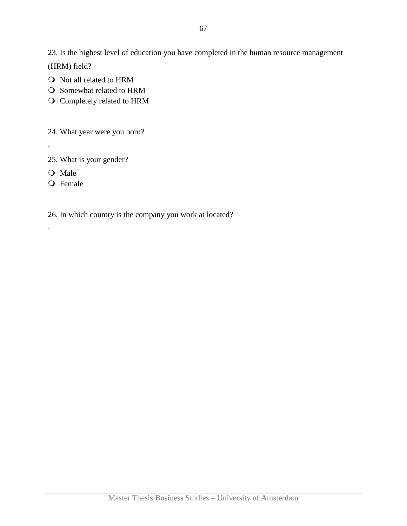23. Is the highest level of education you have completed in the human resource management (HRM) field?

- O Not all related to HRM
- O Somewhat related to HRM
- O Completely related to HRM
- 24. What year were you born?
- -

-

- 25. What is your gender?
- O Male
- O Female

26. In which country is the company you work at located?